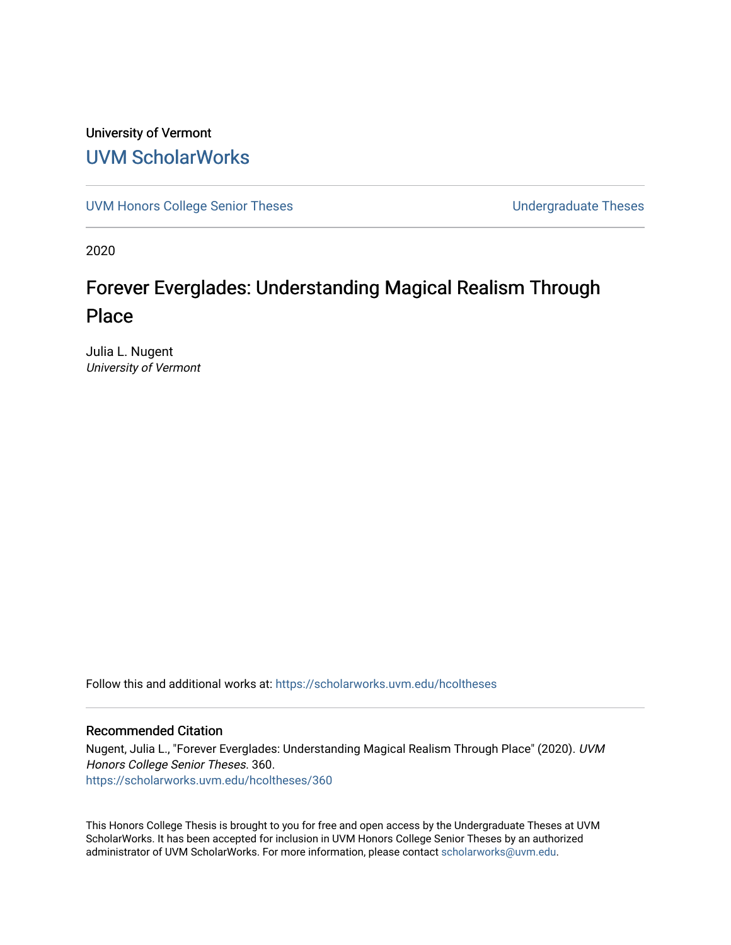## University of Vermont [UVM ScholarWorks](https://scholarworks.uvm.edu/)

[UVM Honors College Senior Theses](https://scholarworks.uvm.edu/hcoltheses) **Exercise Sension** Undergraduate Theses

2020

# Forever Everglades: Understanding Magical Realism Through Place

Julia L. Nugent University of Vermont

Follow this and additional works at: [https://scholarworks.uvm.edu/hcoltheses](https://scholarworks.uvm.edu/hcoltheses?utm_source=scholarworks.uvm.edu%2Fhcoltheses%2F360&utm_medium=PDF&utm_campaign=PDFCoverPages) 

#### Recommended Citation

Nugent, Julia L., "Forever Everglades: Understanding Magical Realism Through Place" (2020). UVM Honors College Senior Theses. 360. [https://scholarworks.uvm.edu/hcoltheses/360](https://scholarworks.uvm.edu/hcoltheses/360?utm_source=scholarworks.uvm.edu%2Fhcoltheses%2F360&utm_medium=PDF&utm_campaign=PDFCoverPages) 

This Honors College Thesis is brought to you for free and open access by the Undergraduate Theses at UVM ScholarWorks. It has been accepted for inclusion in UVM Honors College Senior Theses by an authorized administrator of UVM ScholarWorks. For more information, please contact [scholarworks@uvm.edu](mailto:scholarworks@uvm.edu).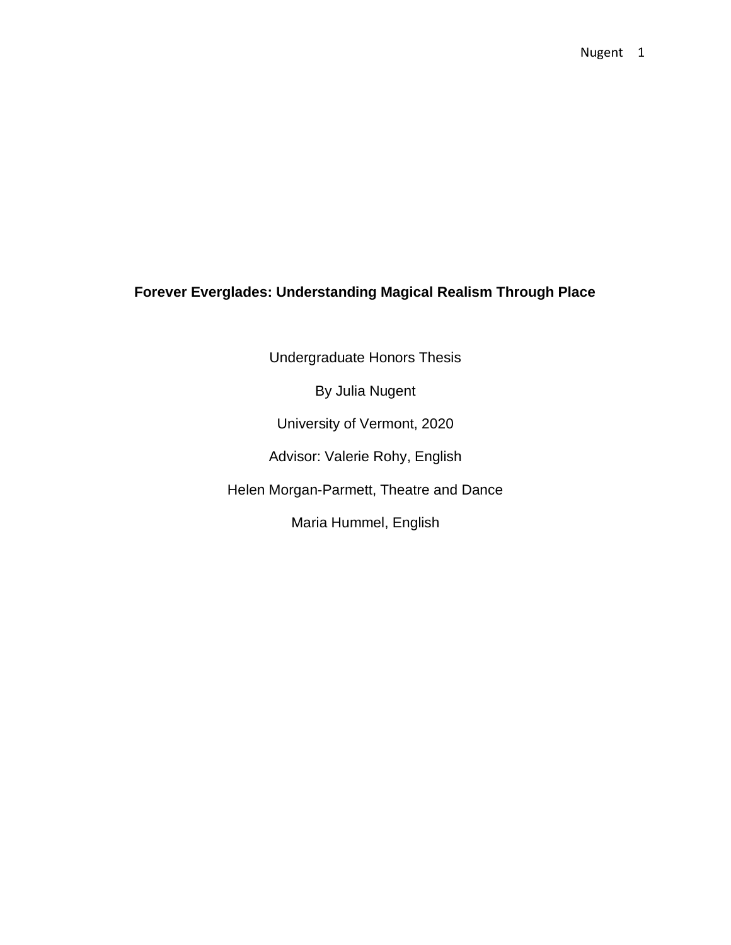### **Forever Everglades: Understanding Magical Realism Through Place**

Undergraduate Honors Thesis

By Julia Nugent

University of Vermont, 2020

Advisor: Valerie Rohy, English

Helen Morgan-Parmett, Theatre and Dance

Maria Hummel, English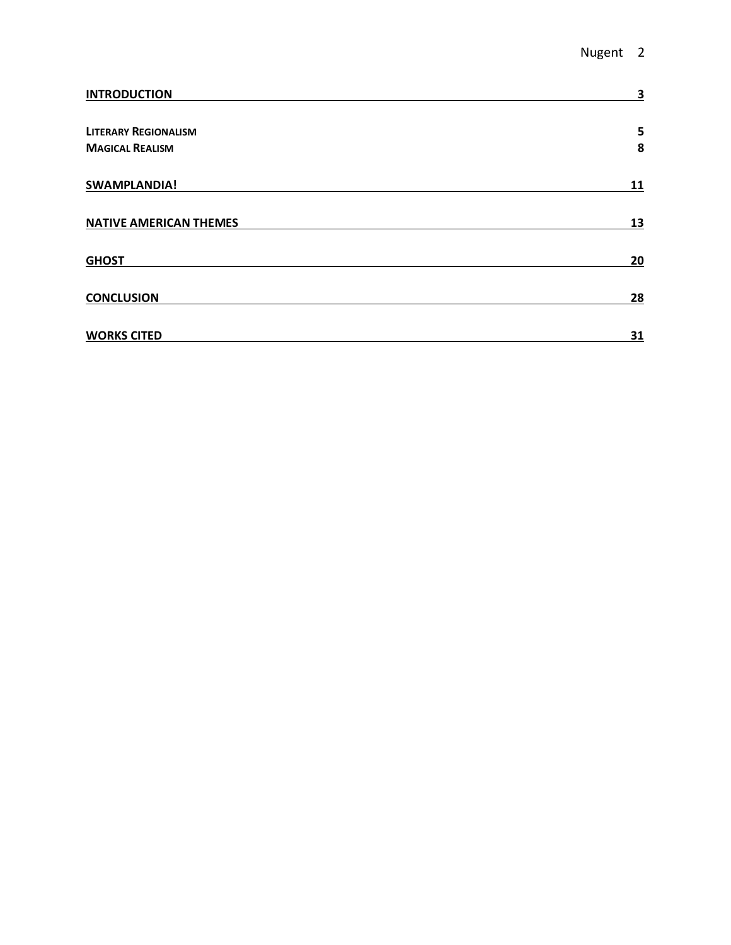| <b>INTRODUCTION</b>           | 3  |
|-------------------------------|----|
| <b>LITERARY REGIONALISM</b>   | 5  |
| <b>MAGICAL REALISM</b>        | 8  |
| SWAMPLANDIA!                  | 11 |
| <b>NATIVE AMERICAN THEMES</b> | 13 |
| <b>GHOST</b>                  | 20 |
| <b>CONCLUSION</b>             | 28 |
| <b>WORKS CITED</b>            | 31 |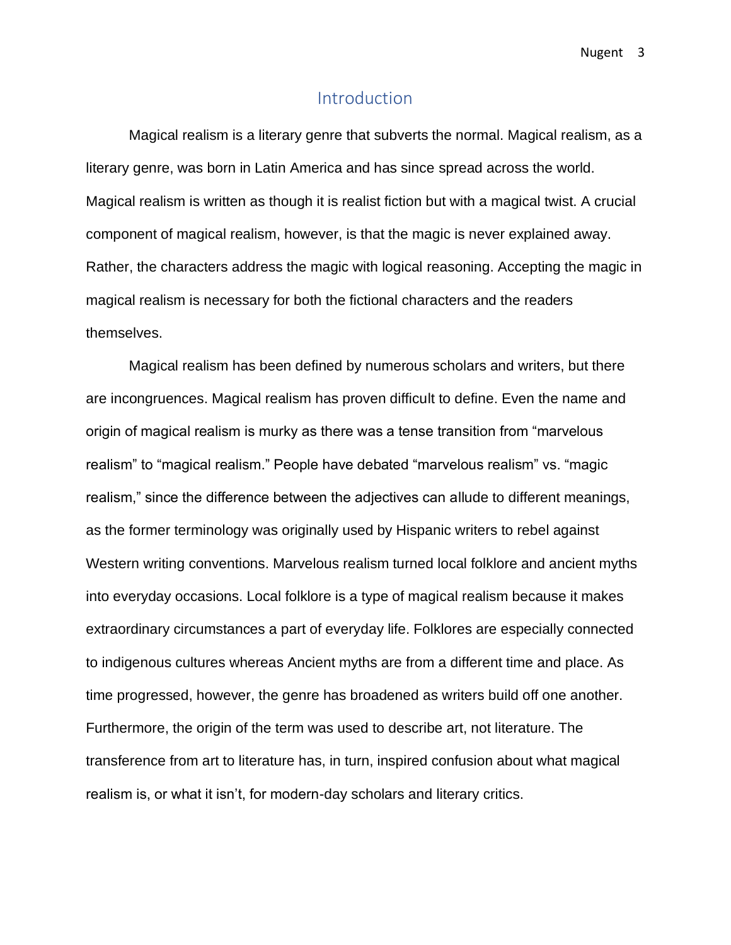### Introduction

<span id="page-3-0"></span>Magical realism is a literary genre that subverts the normal. Magical realism, as a literary genre, was born in Latin America and has since spread across the world. Magical realism is written as though it is realist fiction but with a magical twist. A crucial component of magical realism, however, is that the magic is never explained away. Rather, the characters address the magic with logical reasoning. Accepting the magic in magical realism is necessary for both the fictional characters and the readers themselves.

Magical realism has been defined by numerous scholars and writers, but there are incongruences. Magical realism has proven difficult to define. Even the name and origin of magical realism is murky as there was a tense transition from "marvelous realism" to "magical realism." People have debated "marvelous realism" vs. "magic realism," since the difference between the adjectives can allude to different meanings, as the former terminology was originally used by Hispanic writers to rebel against Western writing conventions. Marvelous realism turned local folklore and ancient myths into everyday occasions. Local folklore is a type of magical realism because it makes extraordinary circumstances a part of everyday life. Folklores are especially connected to indigenous cultures whereas Ancient myths are from a different time and place. As time progressed, however, the genre has broadened as writers build off one another. Furthermore, the origin of the term was used to describe art, not literature. The transference from art to literature has, in turn, inspired confusion about what magical realism is, or what it isn't, for modern-day scholars and literary critics.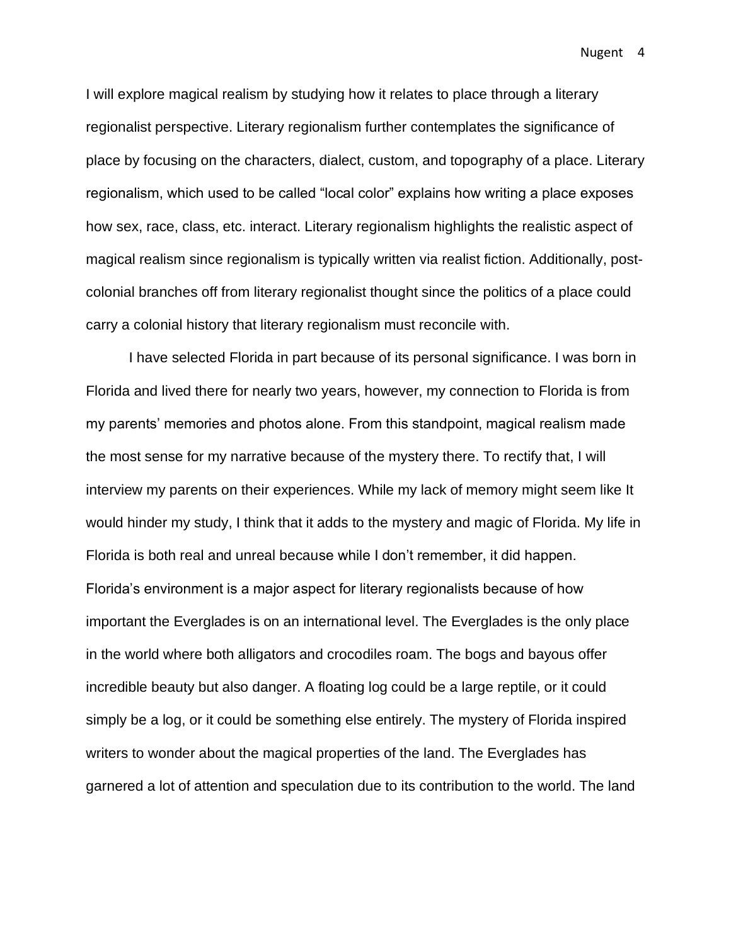I will explore magical realism by studying how it relates to place through a literary regionalist perspective. Literary regionalism further contemplates the significance of place by focusing on the characters, dialect, custom, and topography of a place. Literary regionalism, which used to be called "local color" explains how writing a place exposes how sex, race, class, etc. interact. Literary regionalism highlights the realistic aspect of magical realism since regionalism is typically written via realist fiction. Additionally, postcolonial branches off from literary regionalist thought since the politics of a place could carry a colonial history that literary regionalism must reconcile with.

I have selected Florida in part because of its personal significance. I was born in Florida and lived there for nearly two years, however, my connection to Florida is from my parents' memories and photos alone. From this standpoint, magical realism made the most sense for my narrative because of the mystery there. To rectify that, I will interview my parents on their experiences. While my lack of memory might seem like It would hinder my study, I think that it adds to the mystery and magic of Florida. My life in Florida is both real and unreal because while I don't remember, it did happen. Florida's environment is a major aspect for literary regionalists because of how important the Everglades is on an international level. The Everglades is the only place in the world where both alligators and crocodiles roam. The bogs and bayous offer incredible beauty but also danger. A floating log could be a large reptile, or it could simply be a log, or it could be something else entirely. The mystery of Florida inspired writers to wonder about the magical properties of the land. The Everglades has garnered a lot of attention and speculation due to its contribution to the world. The land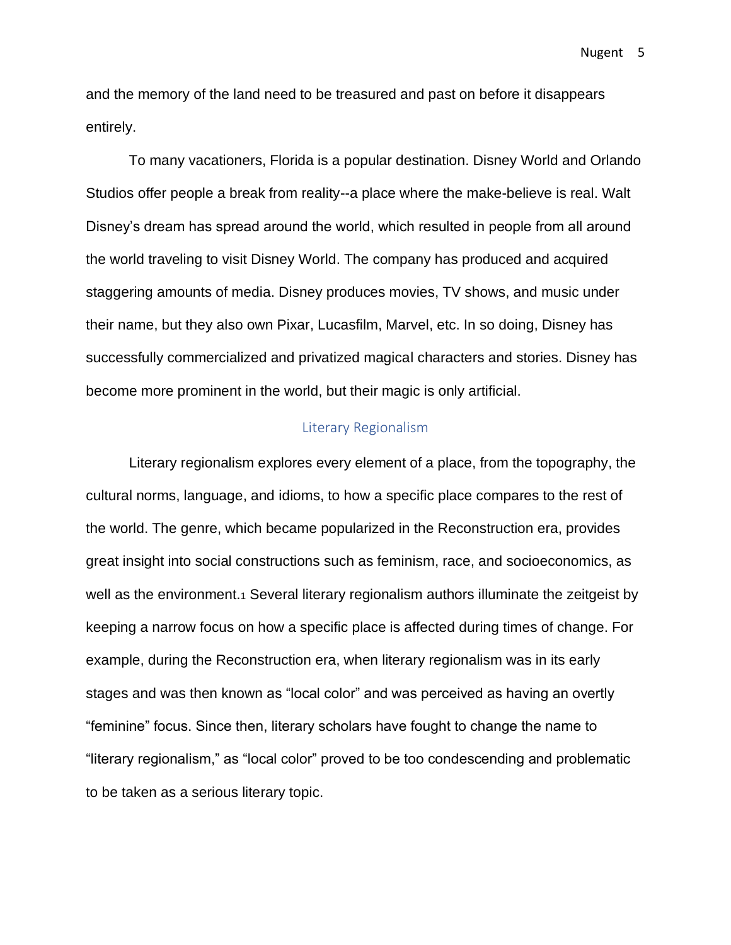and the memory of the land need to be treasured and past on before it disappears entirely.

To many vacationers, Florida is a popular destination. Disney World and Orlando Studios offer people a break from reality--a place where the make-believe is real. Walt Disney's dream has spread around the world, which resulted in people from all around the world traveling to visit Disney World. The company has produced and acquired staggering amounts of media. Disney produces movies, TV shows, and music under their name, but they also own Pixar, Lucasfilm, Marvel, etc. In so doing, Disney has successfully commercialized and privatized magical characters and stories. Disney has become more prominent in the world, but their magic is only artificial.

#### Literary Regionalism

<span id="page-5-0"></span>Literary regionalism explores every element of a place, from the topography, the cultural norms, language, and idioms, to how a specific place compares to the rest of the world. The genre, which became popularized in the Reconstruction era, provides great insight into social constructions such as feminism, race, and socioeconomics, as well as the environment.<sub>1</sub> Several literary regionalism authors illuminate the zeitgeist by keeping a narrow focus on how a specific place is affected during times of change. For example, during the Reconstruction era, when literary regionalism was in its early stages and was then known as "local color" and was perceived as having an overtly "feminine" focus. Since then, literary scholars have fought to change the name to "literary regionalism," as "local color" proved to be too condescending and problematic to be taken as a serious literary topic.

Nugent 5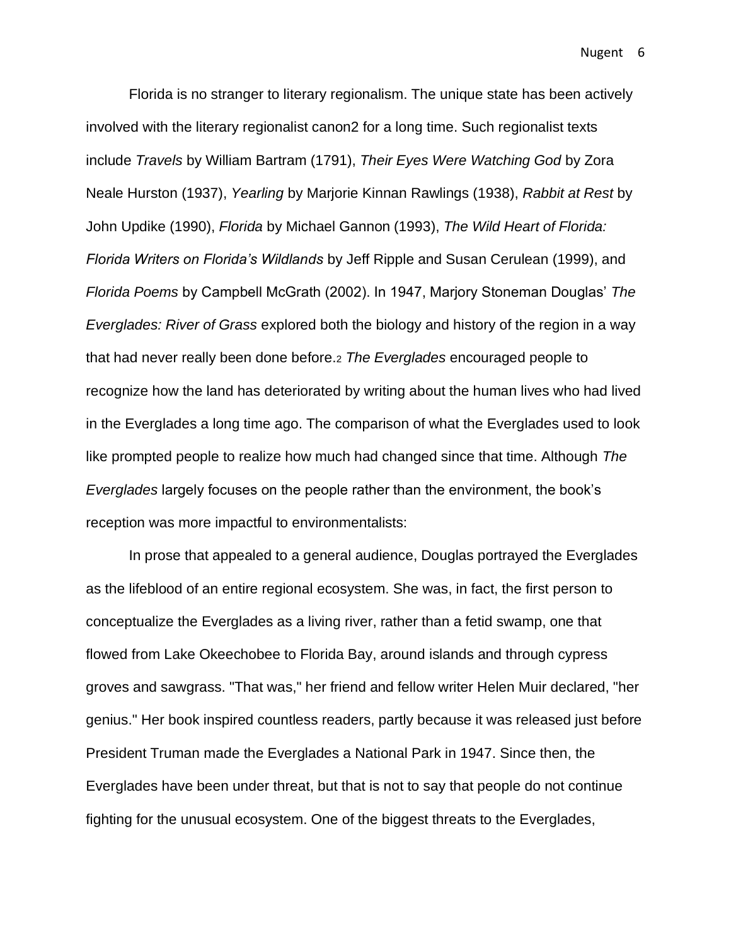Florida is no stranger to literary regionalism. The unique state has been actively involved with the literary regionalist canon2 for a long time. Such regionalist texts include *Travels* by William Bartram (1791), *Their Eyes Were Watching God* by Zora Neale Hurston (1937), *Yearling* by Marjorie Kinnan Rawlings (1938), *Rabbit at Rest* by John Updike (1990), *Florida* by Michael Gannon (1993), *The Wild Heart of Florida: Florida Writers on Florida's Wildlands* by Jeff Ripple and Susan Cerulean (1999), and *Florida Poems* by Campbell McGrath (2002). In 1947, Marjory Stoneman Douglas' *The Everglades: River of Grass* explored both the biology and history of the region in a way that had never really been done before.<sup>2</sup> *The Everglades* encouraged people to recognize how the land has deteriorated by writing about the human lives who had lived in the Everglades a long time ago. The comparison of what the Everglades used to look like prompted people to realize how much had changed since that time. Although *The Everglades* largely focuses on the people rather than the environment, the book's reception was more impactful to environmentalists:

In prose that appealed to a general audience, Douglas portrayed the Everglades as the lifeblood of an entire regional ecosystem. She was, in fact, the first person to conceptualize the Everglades as a living river, rather than a fetid swamp, one that flowed from Lake Okeechobee to Florida Bay, around islands and through cypress groves and sawgrass. "That was," her friend and fellow writer Helen Muir declared, "her genius." Her book inspired countless readers, partly because it was released just before President Truman made the Everglades a National Park in 1947. Since then, the Everglades have been under threat, but that is not to say that people do not continue fighting for the unusual ecosystem. One of the biggest threats to the Everglades,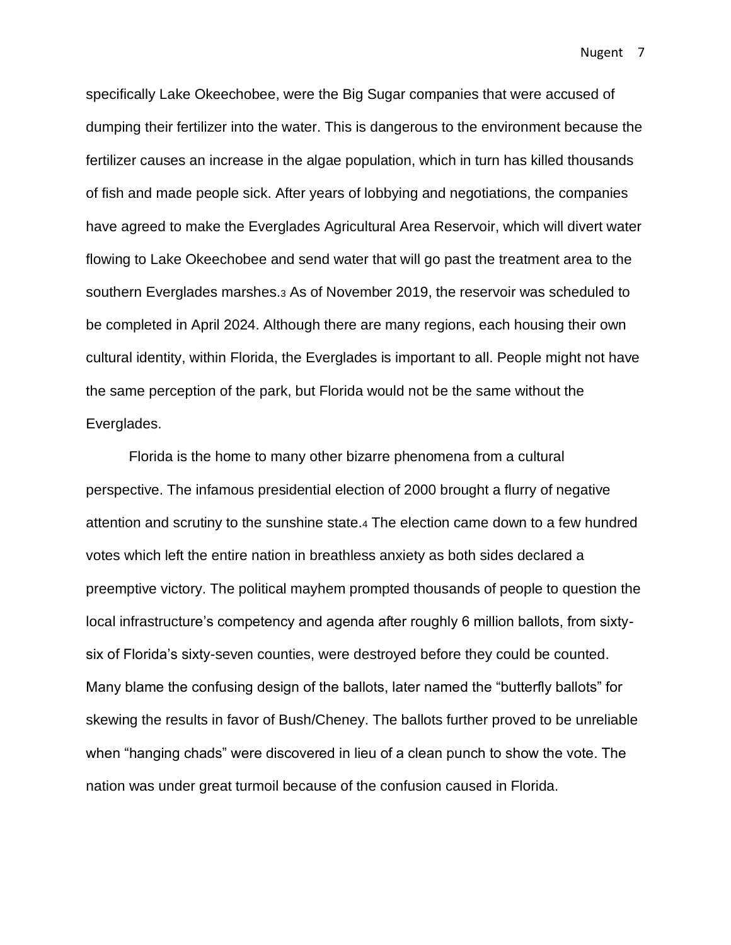specifically Lake Okeechobee, were the Big Sugar companies that were accused of dumping their fertilizer into the water. This is dangerous to the environment because the fertilizer causes an increase in the algae population, which in turn has killed thousands of fish and made people sick. After years of lobbying and negotiations, the companies have agreed to make the Everglades Agricultural Area Reservoir, which will divert water flowing to Lake Okeechobee and send water that will go past the treatment area to the southern Everglades marshes.<sup>3</sup> As of November 2019, the reservoir was scheduled to be completed in April 2024. Although there are many regions, each housing their own cultural identity, within Florida, the Everglades is important to all. People might not have the same perception of the park, but Florida would not be the same without the Everglades.

Florida is the home to many other bizarre phenomena from a cultural perspective. The infamous presidential election of 2000 brought a flurry of negative attention and scrutiny to the sunshine state.<sup>4</sup> The election came down to a few hundred votes which left the entire nation in breathless anxiety as both sides declared a preemptive victory. The political mayhem prompted thousands of people to question the local infrastructure's competency and agenda after roughly 6 million ballots, from sixtysix of Florida's sixty-seven counties, were destroyed before they could be counted. Many blame the confusing design of the ballots, later named the "butterfly ballots" for skewing the results in favor of Bush/Cheney. The ballots further proved to be unreliable when "hanging chads" were discovered in lieu of a clean punch to show the vote. The nation was under great turmoil because of the confusion caused in Florida.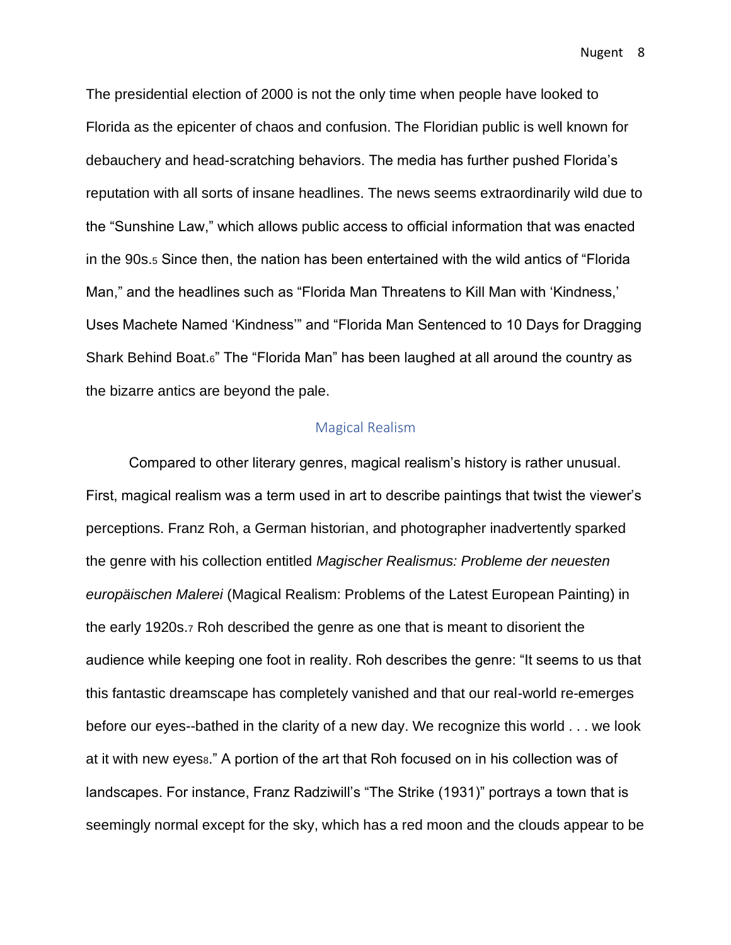The presidential election of 2000 is not the only time when people have looked to Florida as the epicenter of chaos and confusion. The Floridian public is well known for debauchery and head-scratching behaviors. The media has further pushed Florida's reputation with all sorts of insane headlines. The news seems extraordinarily wild due to the "Sunshine Law," which allows public access to official information that was enacted in the 90s.<sup>5</sup> Since then, the nation has been entertained with the wild antics of "Florida Man," and the headlines such as "Florida Man Threatens to Kill Man with 'Kindness,' Uses Machete Named 'Kindness'" and "Florida Man Sentenced to 10 Days for Dragging Shark Behind Boat.6" The "Florida Man" has been laughed at all around the country as the bizarre antics are beyond the pale.

#### Magical Realism

<span id="page-8-0"></span>Compared to other literary genres, magical realism's history is rather unusual. First, magical realism was a term used in art to describe paintings that twist the viewer's perceptions. Franz Roh, a German historian, and photographer inadvertently sparked the genre with his collection entitled *Magischer Realismus: Probleme der neuesten europäischen Malerei* (Magical Realism: Problems of the Latest European Painting) in the early 1920s.<sup>7</sup> Roh described the genre as one that is meant to disorient the audience while keeping one foot in reality. Roh describes the genre: "It seems to us that this fantastic dreamscape has completely vanished and that our real-world re-emerges before our eyes--bathed in the clarity of a new day. We recognize this world . . . we look at it with new eyess." A portion of the art that Roh focused on in his collection was of landscapes. For instance, Franz Radziwill's "The Strike (1931)" portrays a town that is seemingly normal except for the sky, which has a red moon and the clouds appear to be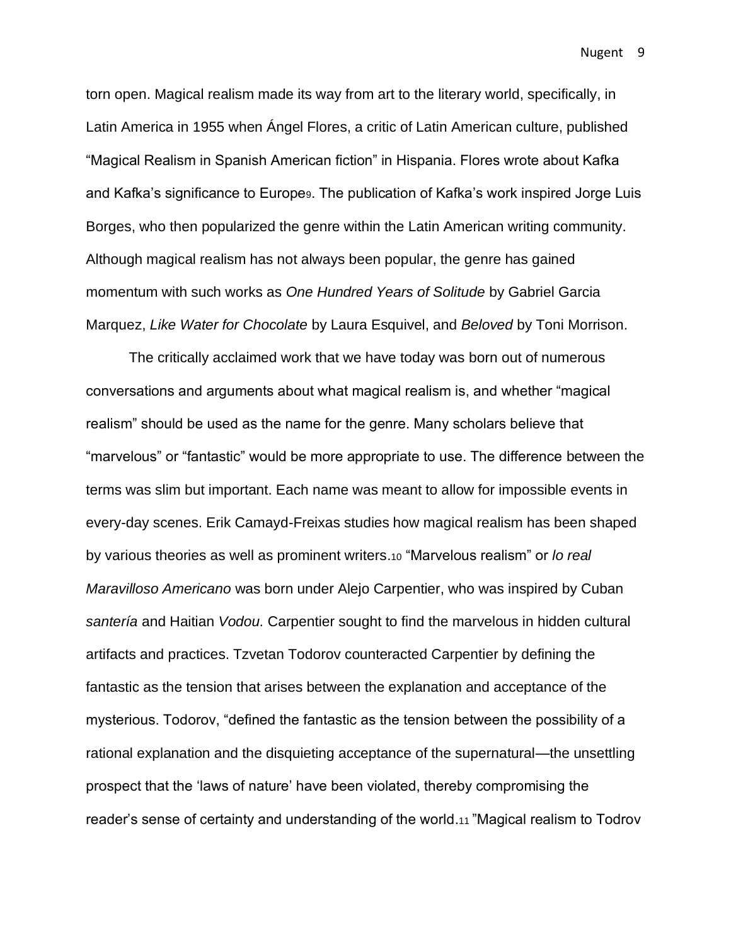torn open. Magical realism made its way from art to the literary world, specifically, in Latin America in 1955 when Ángel Flores, a critic of Latin American culture, published "Magical Realism in Spanish American fiction" in Hispania. Flores wrote about Kafka and Kafka's significance to Europe<sub>9</sub>. The publication of Kafka's work inspired Jorge Luis Borges, who then popularized the genre within the Latin American writing community. Although magical realism has not always been popular, the genre has gained momentum with such works as *One Hundred Years of Solitude* by Gabriel Garcia Marquez, *Like Water for Chocolate* by Laura Esquivel, and *Beloved* by Toni Morrison.

The critically acclaimed work that we have today was born out of numerous conversations and arguments about what magical realism is, and whether "magical realism" should be used as the name for the genre. Many scholars believe that "marvelous" or "fantastic" would be more appropriate to use. The difference between the terms was slim but important. Each name was meant to allow for impossible events in every-day scenes. Erik Camayd-Freixas studies how magical realism has been shaped by various theories as well as prominent writers.<sup>10</sup> "Marvelous realism" or *lo real Maravilloso Americano* was born under Alejo Carpentier, who was inspired by Cuban *santería* and Haitian *Vodou.* Carpentier sought to find the marvelous in hidden cultural artifacts and practices. Tzvetan Todorov counteracted Carpentier by defining the fantastic as the tension that arises between the explanation and acceptance of the mysterious. Todorov, "defined the fantastic as the tension between the possibility of a rational explanation and the disquieting acceptance of the supernatural—the unsettling prospect that the 'laws of nature' have been violated, thereby compromising the reader's sense of certainty and understanding of the world.<sup>11</sup> "Magical realism to Todrov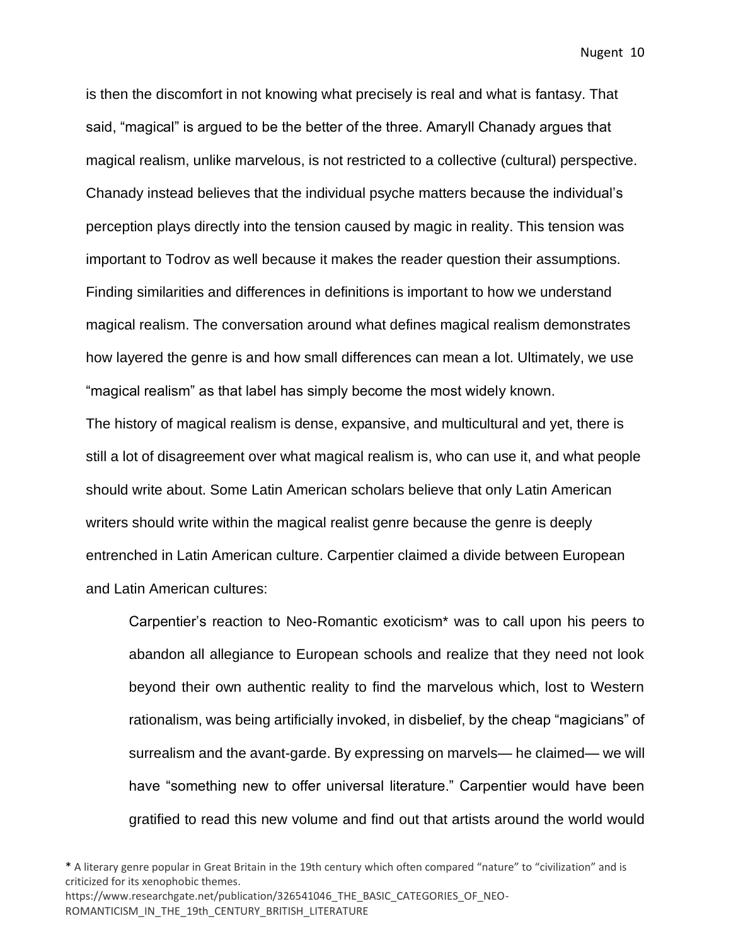is then the discomfort in not knowing what precisely is real and what is fantasy. That said, "magical" is argued to be the better of the three. Amaryll Chanady argues that magical realism, unlike marvelous, is not restricted to a collective (cultural) perspective. Chanady instead believes that the individual psyche matters because the individual's perception plays directly into the tension caused by magic in reality. This tension was important to Todrov as well because it makes the reader question their assumptions. Finding similarities and differences in definitions is important to how we understand magical realism. The conversation around what defines magical realism demonstrates how layered the genre is and how small differences can mean a lot. Ultimately, we use "magical realism" as that label has simply become the most widely known.

The history of magical realism is dense, expansive, and multicultural and yet, there is still a lot of disagreement over what magical realism is, who can use it, and what people should write about. Some Latin American scholars believe that only Latin American writers should write within the magical realist genre because the genre is deeply entrenched in Latin American culture. Carpentier claimed a divide between European and Latin American cultures:

Carpentier's reaction to Neo-Romantic exoticism\* was to call upon his peers to abandon all allegiance to European schools and realize that they need not look beyond their own authentic reality to find the marvelous which, lost to Western rationalism, was being artificially invoked, in disbelief, by the cheap "magicians" of surrealism and the avant-garde. By expressing on marvels— he claimed— we will have "something new to offer universal literature." Carpentier would have been gratified to read this new volume and find out that artists around the world would

\* A literary genre popular in Great Britain in the 19th century which often compared "nature" to "civilization" and is criticized for its xenophobic themes.

https://www.researchgate.net/publication/326541046\_THE\_BASIC\_CATEGORIES\_OF\_NEO-ROMANTICISM\_IN\_THE\_19th\_CENTURY\_BRITISH\_LITERATURE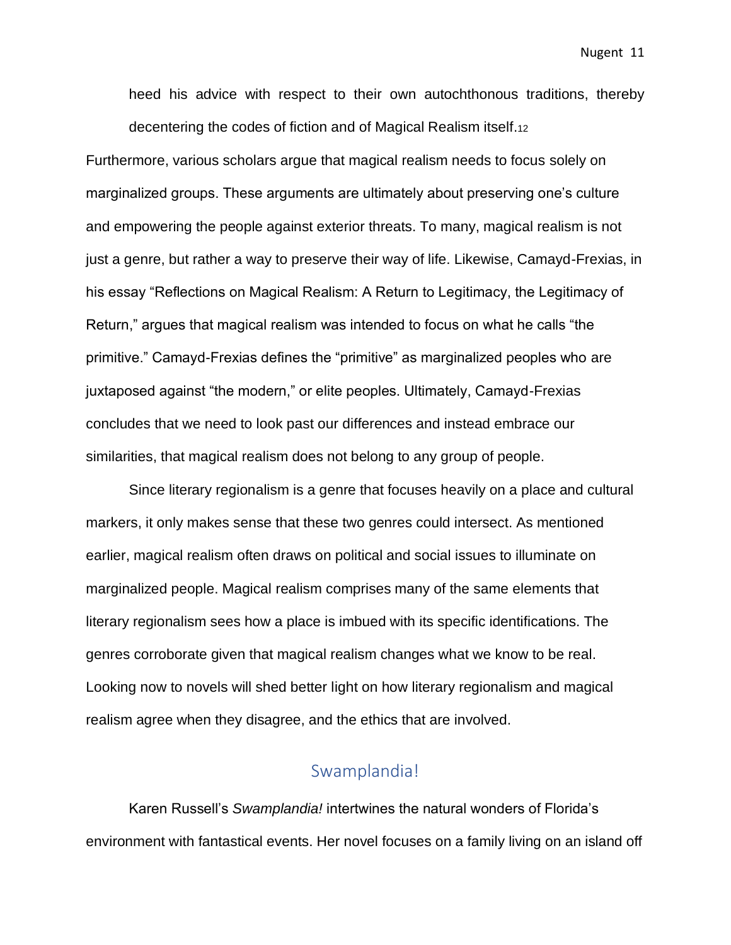heed his advice with respect to their own autochthonous traditions, thereby decentering the codes of fiction and of Magical Realism itself.<sup>12</sup>

Furthermore, various scholars argue that magical realism needs to focus solely on marginalized groups. These arguments are ultimately about preserving one's culture and empowering the people against exterior threats. To many, magical realism is not just a genre, but rather a way to preserve their way of life. Likewise, Camayd-Frexias, in his essay "Reflections on Magical Realism: A Return to Legitimacy, the Legitimacy of Return," argues that magical realism was intended to focus on what he calls "the primitive." Camayd-Frexias defines the "primitive" as marginalized peoples who are juxtaposed against "the modern," or elite peoples. Ultimately, Camayd-Frexias concludes that we need to look past our differences and instead embrace our similarities, that magical realism does not belong to any group of people.

Since literary regionalism is a genre that focuses heavily on a place and cultural markers, it only makes sense that these two genres could intersect. As mentioned earlier, magical realism often draws on political and social issues to illuminate on marginalized people. Magical realism comprises many of the same elements that literary regionalism sees how a place is imbued with its specific identifications. The genres corroborate given that magical realism changes what we know to be real. Looking now to novels will shed better light on how literary regionalism and magical realism agree when they disagree, and the ethics that are involved.

### Swamplandia!

<span id="page-11-0"></span>Karen Russell's *Swamplandia!* intertwines the natural wonders of Florida's environment with fantastical events. Her novel focuses on a family living on an island off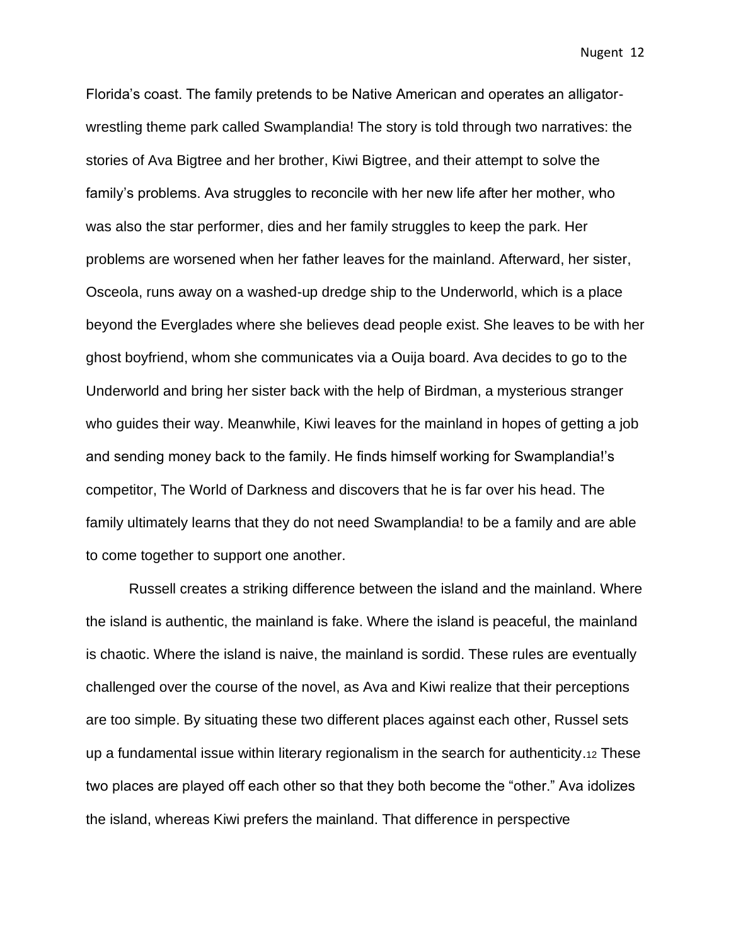Florida's coast. The family pretends to be Native American and operates an alligatorwrestling theme park called Swamplandia! The story is told through two narratives: the stories of Ava Bigtree and her brother, Kiwi Bigtree, and their attempt to solve the family's problems. Ava struggles to reconcile with her new life after her mother, who was also the star performer, dies and her family struggles to keep the park. Her problems are worsened when her father leaves for the mainland. Afterward, her sister, Osceola, runs away on a washed-up dredge ship to the Underworld, which is a place beyond the Everglades where she believes dead people exist. She leaves to be with her ghost boyfriend, whom she communicates via a Ouija board. Ava decides to go to the Underworld and bring her sister back with the help of Birdman, a mysterious stranger who guides their way. Meanwhile, Kiwi leaves for the mainland in hopes of getting a job and sending money back to the family. He finds himself working for Swamplandia!'s competitor, The World of Darkness and discovers that he is far over his head. The family ultimately learns that they do not need Swamplandia! to be a family and are able to come together to support one another.

Russell creates a striking difference between the island and the mainland. Where the island is authentic, the mainland is fake. Where the island is peaceful, the mainland is chaotic. Where the island is naive, the mainland is sordid. These rules are eventually challenged over the course of the novel, as Ava and Kiwi realize that their perceptions are too simple. By situating these two different places against each other, Russel sets up a fundamental issue within literary regionalism in the search for authenticity.<sup>12</sup> These two places are played off each other so that they both become the "other." Ava idolizes the island, whereas Kiwi prefers the mainland. That difference in perspective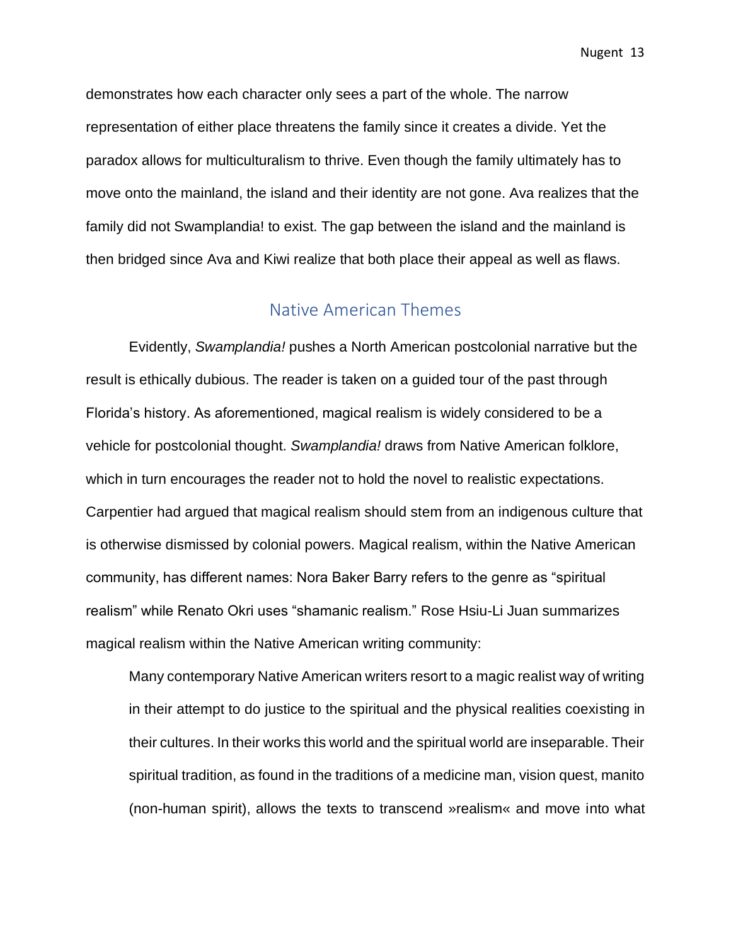demonstrates how each character only sees a part of the whole. The narrow representation of either place threatens the family since it creates a divide. Yet the paradox allows for multiculturalism to thrive. Even though the family ultimately has to move onto the mainland, the island and their identity are not gone. Ava realizes that the family did not Swamplandia! to exist. The gap between the island and the mainland is then bridged since Ava and Kiwi realize that both place their appeal as well as flaws.

### Native American Themes

<span id="page-13-0"></span>Evidently, *Swamplandia!* pushes a North American postcolonial narrative but the result is ethically dubious. The reader is taken on a guided tour of the past through Florida's history. As aforementioned, magical realism is widely considered to be a vehicle for postcolonial thought. *Swamplandia!* draws from Native American folklore, which in turn encourages the reader not to hold the novel to realistic expectations. Carpentier had argued that magical realism should stem from an indigenous culture that is otherwise dismissed by colonial powers. Magical realism, within the Native American community, has different names: Nora Baker Barry refers to the genre as "spiritual realism" while Renato Okri uses "shamanic realism." Rose Hsiu-Li Juan summarizes magical realism within the Native American writing community:

Many contemporary Native American writers resort to a magic realist way of writing in their attempt to do justice to the spiritual and the physical realities coexisting in their cultures. In their works this world and the spiritual world are inseparable. Their spiritual tradition, as found in the traditions of a medicine man, vision quest, manito (non-human spirit), allows the texts to transcend »realism« and move into what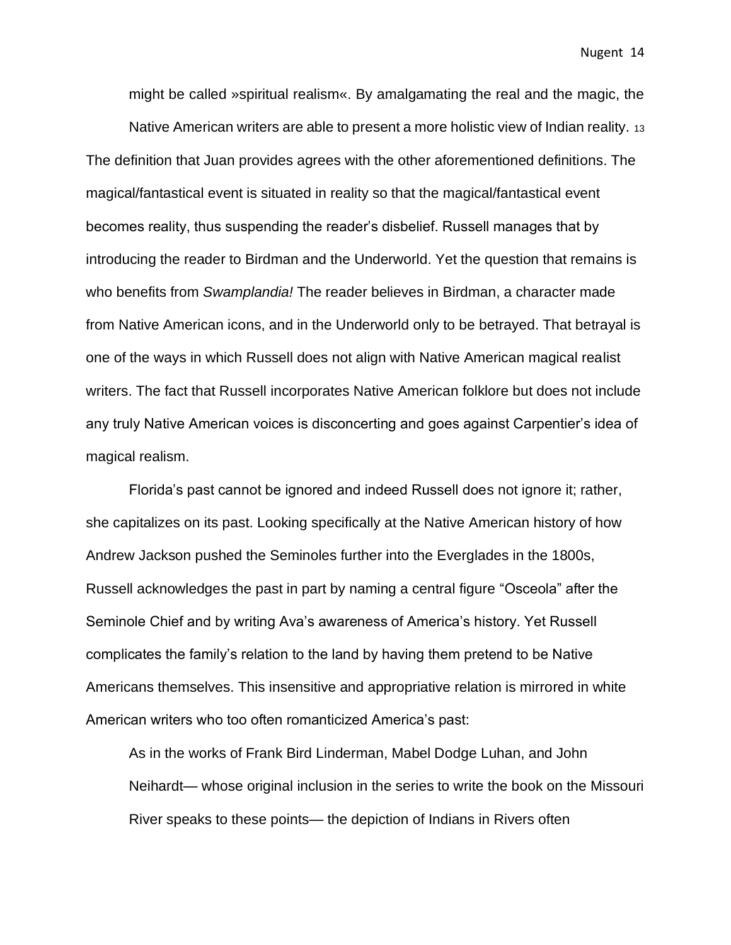might be called »spiritual realism«. By amalgamating the real and the magic, the

Native American writers are able to present a more holistic view of Indian reality. 13 The definition that Juan provides agrees with the other aforementioned definitions. The magical/fantastical event is situated in reality so that the magical/fantastical event becomes reality, thus suspending the reader's disbelief. Russell manages that by introducing the reader to Birdman and the Underworld. Yet the question that remains is who benefits from *Swamplandia!* The reader believes in Birdman, a character made from Native American icons, and in the Underworld only to be betrayed. That betrayal is one of the ways in which Russell does not align with Native American magical realist writers. The fact that Russell incorporates Native American folklore but does not include any truly Native American voices is disconcerting and goes against Carpentier's idea of magical realism.

Florida's past cannot be ignored and indeed Russell does not ignore it; rather, she capitalizes on its past. Looking specifically at the Native American history of how Andrew Jackson pushed the Seminoles further into the Everglades in the 1800s, Russell acknowledges the past in part by naming a central figure "Osceola" after the Seminole Chief and by writing Ava's awareness of America's history. Yet Russell complicates the family's relation to the land by having them pretend to be Native Americans themselves. This insensitive and appropriative relation is mirrored in white American writers who too often romanticized America's past:

As in the works of Frank Bird Linderman, Mabel Dodge Luhan, and John Neihardt— whose original inclusion in the series to write the book on the Missouri River speaks to these points— the depiction of Indians in Rivers often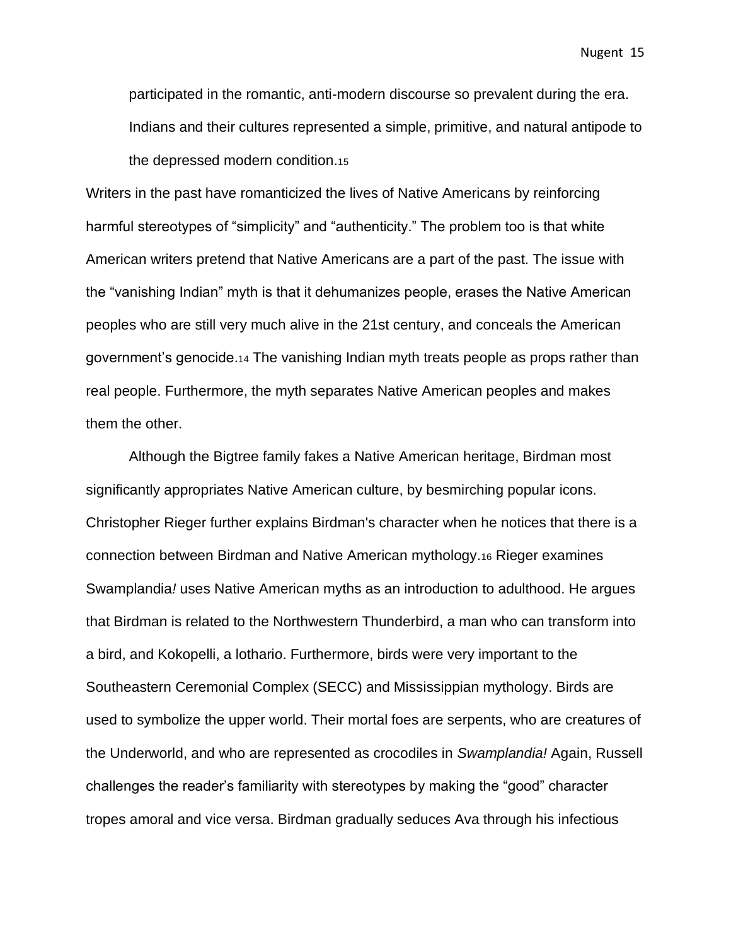participated in the romantic, anti-modern discourse so prevalent during the era. Indians and their cultures represented a simple, primitive, and natural antipode to the depressed modern condition.<sup>15</sup>

Writers in the past have romanticized the lives of Native Americans by reinforcing harmful stereotypes of "simplicity" and "authenticity." The problem too is that white American writers pretend that Native Americans are a part of the past. The issue with the "vanishing Indian" myth is that it dehumanizes people, erases the Native American peoples who are still very much alive in the 21st century, and conceals the American government's genocide.<sup>14</sup> The vanishing Indian myth treats people as props rather than real people. Furthermore, the myth separates Native American peoples and makes them the other.

Although the Bigtree family fakes a Native American heritage, Birdman most significantly appropriates Native American culture, by besmirching popular icons. Christopher Rieger further explains Birdman's character when he notices that there is a connection between Birdman and Native American mythology.<sup>16</sup> Rieger examines Swamplandia*!* uses Native American myths as an introduction to adulthood. He argues that Birdman is related to the Northwestern Thunderbird, a man who can transform into a bird, and Kokopelli, a lothario. Furthermore, birds were very important to the Southeastern Ceremonial Complex (SECC) and Mississippian mythology. Birds are used to symbolize the upper world. Their mortal foes are serpents, who are creatures of the Underworld, and who are represented as crocodiles in *Swamplandia!* Again, Russell challenges the reader's familiarity with stereotypes by making the "good" character tropes amoral and vice versa. Birdman gradually seduces Ava through his infectious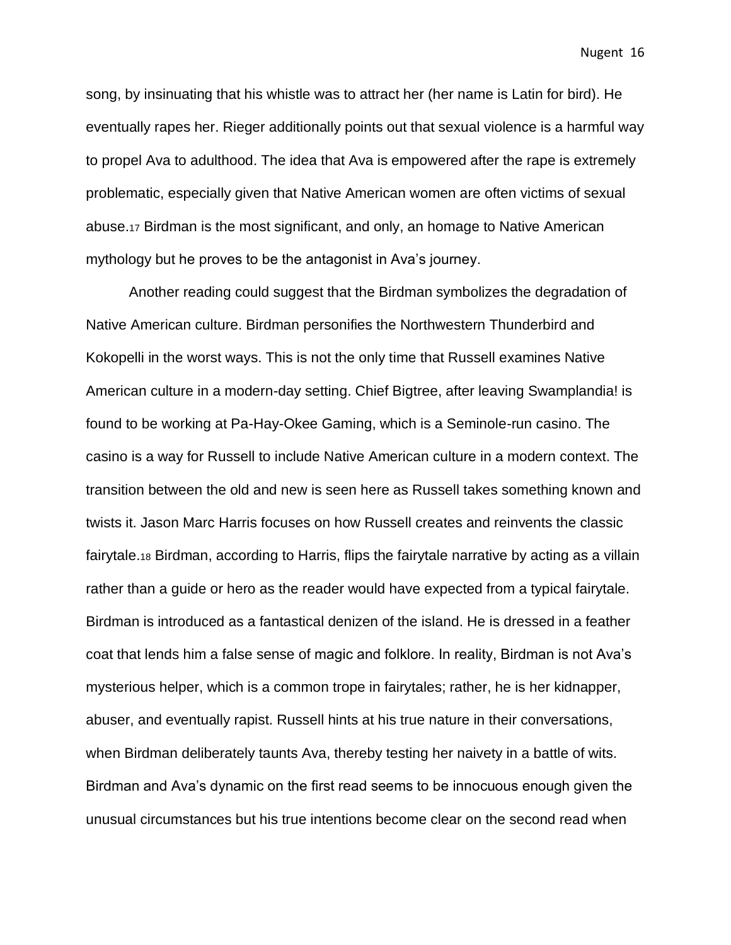song, by insinuating that his whistle was to attract her (her name is Latin for bird). He eventually rapes her. Rieger additionally points out that sexual violence is a harmful way to propel Ava to adulthood. The idea that Ava is empowered after the rape is extremely problematic, especially given that Native American women are often victims of sexual abuse.<sup>17</sup> Birdman is the most significant, and only, an homage to Native American mythology but he proves to be the antagonist in Ava's journey.

Another reading could suggest that the Birdman symbolizes the degradation of Native American culture. Birdman personifies the Northwestern Thunderbird and Kokopelli in the worst ways. This is not the only time that Russell examines Native American culture in a modern-day setting. Chief Bigtree, after leaving Swamplandia! is found to be working at Pa-Hay-Okee Gaming, which is a Seminole-run casino. The casino is a way for Russell to include Native American culture in a modern context. The transition between the old and new is seen here as Russell takes something known and twists it. Jason Marc Harris focuses on how Russell creates and reinvents the classic fairytale.<sup>18</sup> Birdman, according to Harris, flips the fairytale narrative by acting as a villain rather than a guide or hero as the reader would have expected from a typical fairytale. Birdman is introduced as a fantastical denizen of the island. He is dressed in a feather coat that lends him a false sense of magic and folklore. In reality, Birdman is not Ava's mysterious helper, which is a common trope in fairytales; rather, he is her kidnapper, abuser, and eventually rapist. Russell hints at his true nature in their conversations, when Birdman deliberately taunts Ava, thereby testing her naivety in a battle of wits. Birdman and Ava's dynamic on the first read seems to be innocuous enough given the unusual circumstances but his true intentions become clear on the second read when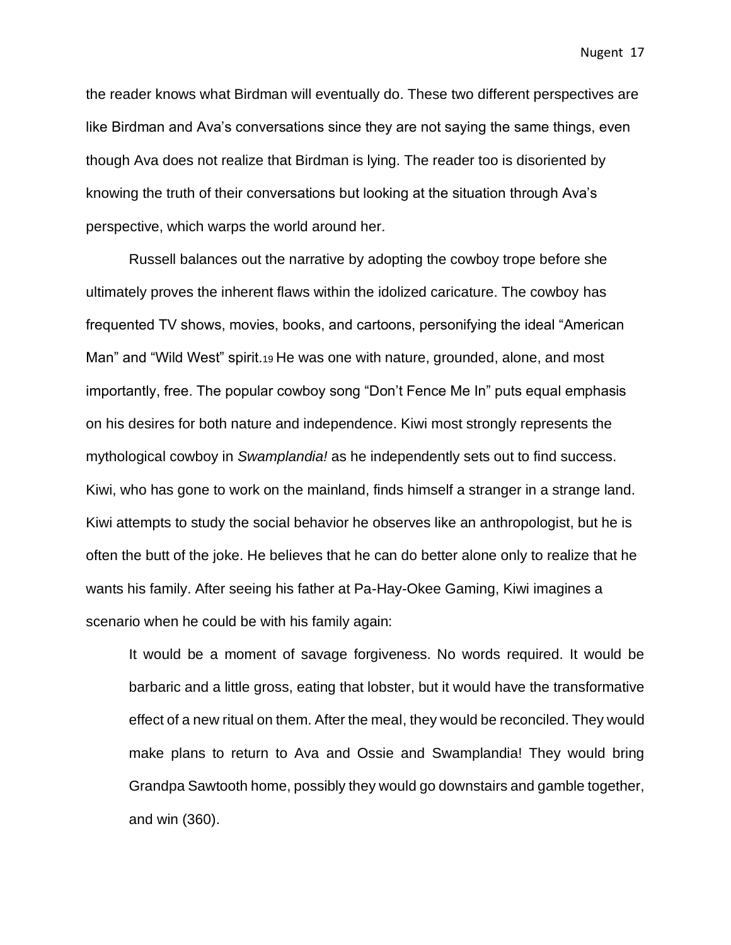the reader knows what Birdman will eventually do. These two different perspectives are like Birdman and Ava's conversations since they are not saying the same things, even though Ava does not realize that Birdman is lying. The reader too is disoriented by knowing the truth of their conversations but looking at the situation through Ava's perspective, which warps the world around her.

Russell balances out the narrative by adopting the cowboy trope before she ultimately proves the inherent flaws within the idolized caricature. The cowboy has frequented TV shows, movies, books, and cartoons, personifying the ideal "American Man" and "Wild West" spirit.19 He was one with nature, grounded, alone, and most importantly, free. The popular cowboy song "Don't Fence Me In" puts equal emphasis on his desires for both nature and independence. Kiwi most strongly represents the mythological cowboy in *Swamplandia!* as he independently sets out to find success. Kiwi, who has gone to work on the mainland, finds himself a stranger in a strange land. Kiwi attempts to study the social behavior he observes like an anthropologist, but he is often the butt of the joke. He believes that he can do better alone only to realize that he wants his family. After seeing his father at Pa-Hay-Okee Gaming, Kiwi imagines a scenario when he could be with his family again:

It would be a moment of savage forgiveness. No words required. It would be barbaric and a little gross, eating that lobster, but it would have the transformative effect of a new ritual on them. After the meal, they would be reconciled. They would make plans to return to Ava and Ossie and Swamplandia! They would bring Grandpa Sawtooth home, possibly they would go downstairs and gamble together, and win (360).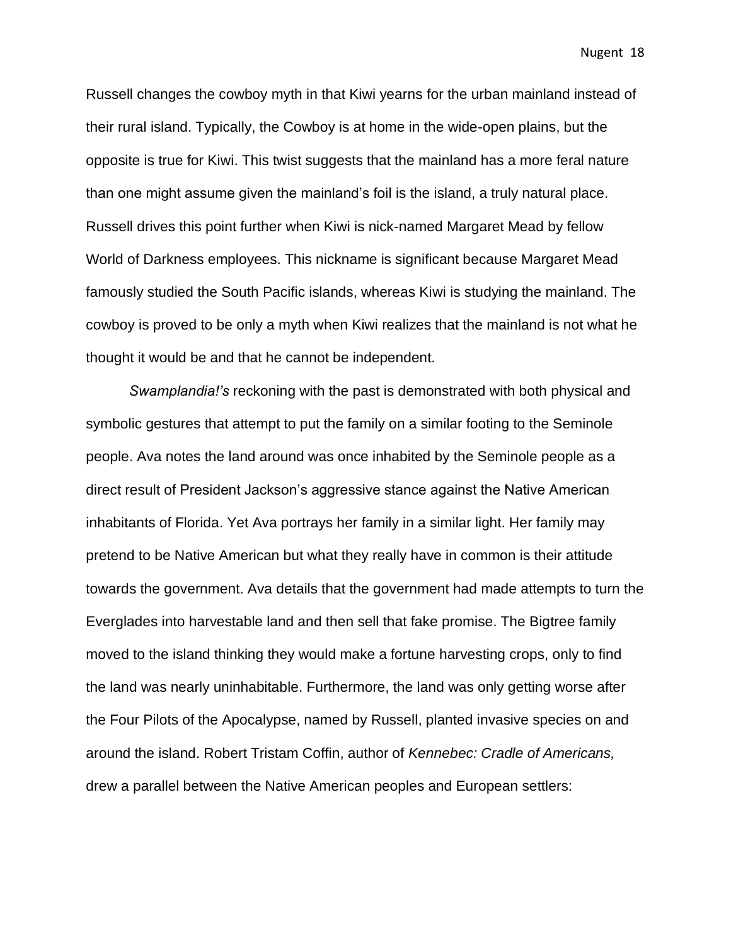Russell changes the cowboy myth in that Kiwi yearns for the urban mainland instead of their rural island. Typically, the Cowboy is at home in the wide-open plains, but the opposite is true for Kiwi. This twist suggests that the mainland has a more feral nature than one might assume given the mainland's foil is the island, a truly natural place. Russell drives this point further when Kiwi is nick-named Margaret Mead by fellow World of Darkness employees. This nickname is significant because Margaret Mead famously studied the South Pacific islands, whereas Kiwi is studying the mainland. The cowboy is proved to be only a myth when Kiwi realizes that the mainland is not what he thought it would be and that he cannot be independent.

*Swamplandia!'s* reckoning with the past is demonstrated with both physical and symbolic gestures that attempt to put the family on a similar footing to the Seminole people. Ava notes the land around was once inhabited by the Seminole people as a direct result of President Jackson's aggressive stance against the Native American inhabitants of Florida. Yet Ava portrays her family in a similar light. Her family may pretend to be Native American but what they really have in common is their attitude towards the government. Ava details that the government had made attempts to turn the Everglades into harvestable land and then sell that fake promise. The Bigtree family moved to the island thinking they would make a fortune harvesting crops, only to find the land was nearly uninhabitable. Furthermore, the land was only getting worse after the Four Pilots of the Apocalypse, named by Russell, planted invasive species on and around the island. Robert Tristam Coffin, author of *Kennebec: Cradle of Americans,*  drew a parallel between the Native American peoples and European settlers: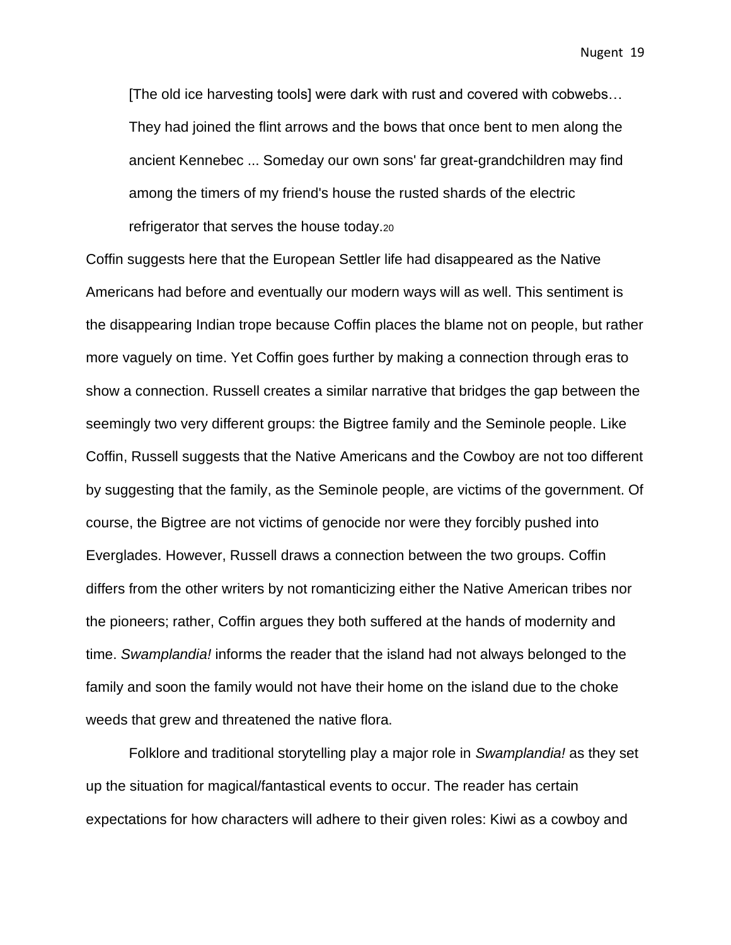[The old ice harvesting tools] were dark with rust and covered with cobwebs… They had joined the flint arrows and the bows that once bent to men along the ancient Kennebec ... Someday our own sons' far great-grandchildren may find among the timers of my friend's house the rusted shards of the electric refrigerator that serves the house today.<sup>20</sup>

Coffin suggests here that the European Settler life had disappeared as the Native Americans had before and eventually our modern ways will as well. This sentiment is the disappearing Indian trope because Coffin places the blame not on people, but rather more vaguely on time. Yet Coffin goes further by making a connection through eras to show a connection. Russell creates a similar narrative that bridges the gap between the seemingly two very different groups: the Bigtree family and the Seminole people. Like Coffin, Russell suggests that the Native Americans and the Cowboy are not too different by suggesting that the family, as the Seminole people, are victims of the government. Of course, the Bigtree are not victims of genocide nor were they forcibly pushed into Everglades. However, Russell draws a connection between the two groups. Coffin differs from the other writers by not romanticizing either the Native American tribes nor the pioneers; rather, Coffin argues they both suffered at the hands of modernity and time. *Swamplandia!* informs the reader that the island had not always belonged to the family and soon the family would not have their home on the island due to the choke weeds that grew and threatened the native flora.

Folklore and traditional storytelling play a major role in *Swamplandia!* as they set up the situation for magical/fantastical events to occur. The reader has certain expectations for how characters will adhere to their given roles: Kiwi as a cowboy and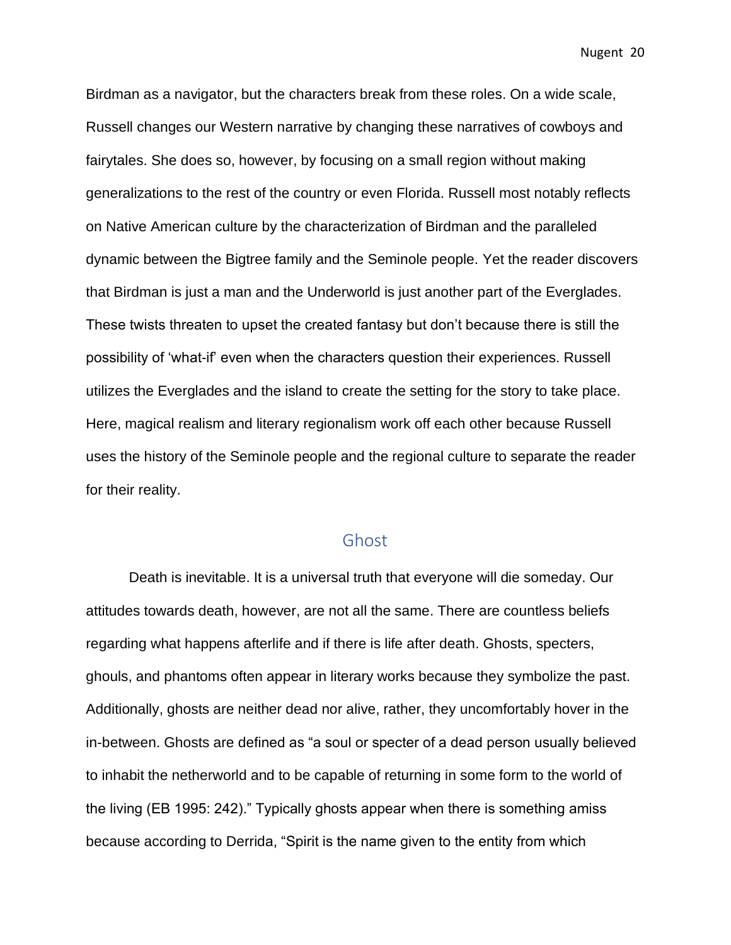Birdman as a navigator, but the characters break from these roles. On a wide scale, Russell changes our Western narrative by changing these narratives of cowboys and fairytales. She does so, however, by focusing on a small region without making generalizations to the rest of the country or even Florida. Russell most notably reflects on Native American culture by the characterization of Birdman and the paralleled dynamic between the Bigtree family and the Seminole people. Yet the reader discovers that Birdman is just a man and the Underworld is just another part of the Everglades. These twists threaten to upset the created fantasy but don't because there is still the possibility of 'what-if' even when the characters question their experiences. Russell utilizes the Everglades and the island to create the setting for the story to take place. Here, magical realism and literary regionalism work off each other because Russell uses the history of the Seminole people and the regional culture to separate the reader for their reality.

#### Ghost

<span id="page-20-0"></span>Death is inevitable. It is a universal truth that everyone will die someday. Our attitudes towards death, however, are not all the same. There are countless beliefs regarding what happens afterlife and if there is life after death. Ghosts, specters, ghouls, and phantoms often appear in literary works because they symbolize the past. Additionally, ghosts are neither dead nor alive, rather, they uncomfortably hover in the in-between. Ghosts are defined as "a soul or specter of a dead person usually believed to inhabit the netherworld and to be capable of returning in some form to the world of the living (EB 1995: 242)." Typically ghosts appear when there is something amiss because according to Derrida, "Spirit is the name given to the entity from which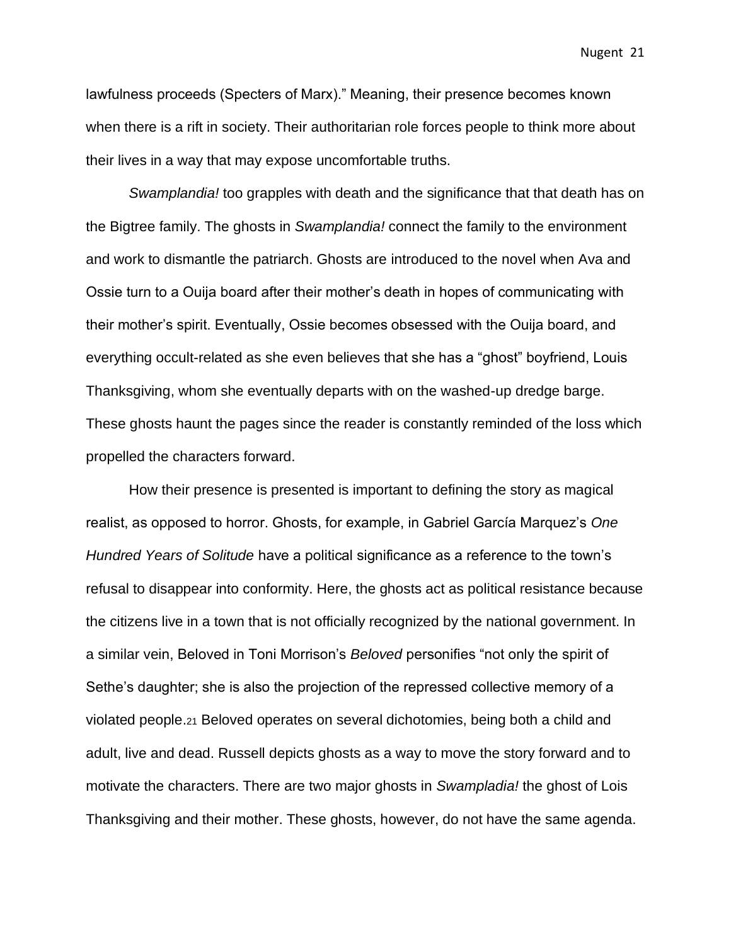lawfulness proceeds (Specters of Marx)." Meaning, their presence becomes known when there is a rift in society. Their authoritarian role forces people to think more about their lives in a way that may expose uncomfortable truths.

*Swamplandia!* too grapples with death and the significance that that death has on the Bigtree family. The ghosts in *Swamplandia!* connect the family to the environment and work to dismantle the patriarch. Ghosts are introduced to the novel when Ava and Ossie turn to a Ouija board after their mother's death in hopes of communicating with their mother's spirit. Eventually, Ossie becomes obsessed with the Ouija board, and everything occult-related as she even believes that she has a "ghost" boyfriend, Louis Thanksgiving, whom she eventually departs with on the washed-up dredge barge. These ghosts haunt the pages since the reader is constantly reminded of the loss which propelled the characters forward.

How their presence is presented is important to defining the story as magical realist, as opposed to horror. Ghosts, for example, in Gabriel García Marquez's *One Hundred Years of Solitude* have a political significance as a reference to the town's refusal to disappear into conformity. Here, the ghosts act as political resistance because the citizens live in a town that is not officially recognized by the national government. In a similar vein, Beloved in Toni Morrison's *Beloved* personifies "not only the spirit of Sethe's daughter; she is also the projection of the repressed collective memory of a violated people.<sup>21</sup> Beloved operates on several dichotomies, being both a child and adult, live and dead. Russell depicts ghosts as a way to move the story forward and to motivate the characters. There are two major ghosts in *Swampladia!* the ghost of Lois Thanksgiving and their mother. These ghosts, however, do not have the same agenda.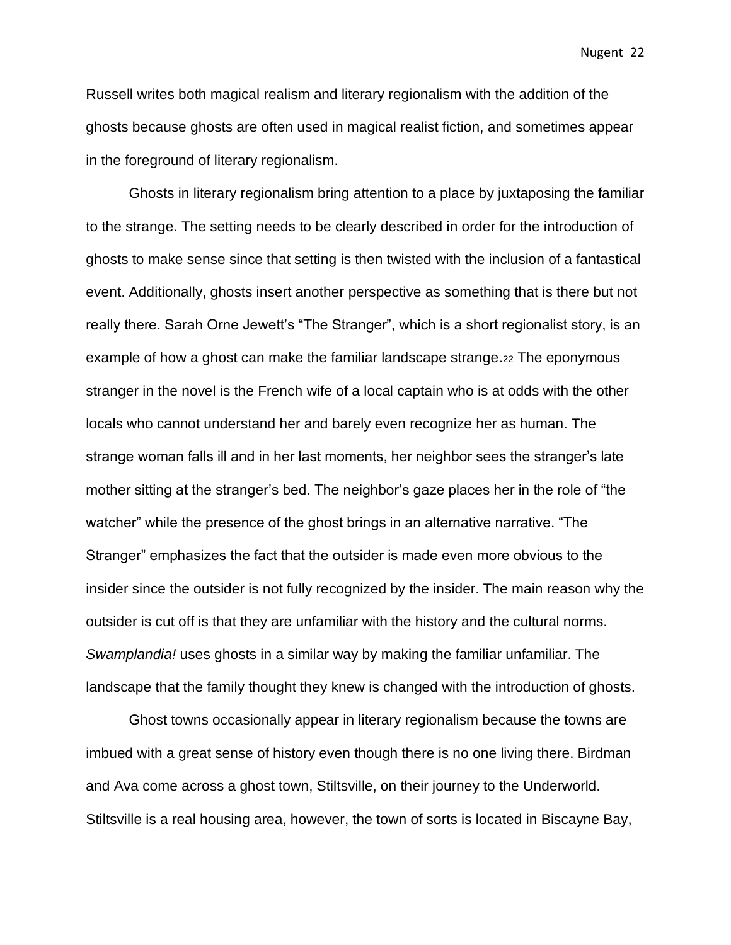Russell writes both magical realism and literary regionalism with the addition of the ghosts because ghosts are often used in magical realist fiction, and sometimes appear in the foreground of literary regionalism.

Ghosts in literary regionalism bring attention to a place by juxtaposing the familiar to the strange. The setting needs to be clearly described in order for the introduction of ghosts to make sense since that setting is then twisted with the inclusion of a fantastical event. Additionally, ghosts insert another perspective as something that is there but not really there. Sarah Orne Jewett's "The Stranger", which is a short regionalist story, is an example of how a ghost can make the familiar landscape strange.<sup>22</sup> The eponymous stranger in the novel is the French wife of a local captain who is at odds with the other locals who cannot understand her and barely even recognize her as human. The strange woman falls ill and in her last moments, her neighbor sees the stranger's late mother sitting at the stranger's bed. The neighbor's gaze places her in the role of "the watcher" while the presence of the ghost brings in an alternative narrative. "The Stranger" emphasizes the fact that the outsider is made even more obvious to the insider since the outsider is not fully recognized by the insider. The main reason why the outsider is cut off is that they are unfamiliar with the history and the cultural norms. *Swamplandia!* uses ghosts in a similar way by making the familiar unfamiliar. The landscape that the family thought they knew is changed with the introduction of ghosts.

Ghost towns occasionally appear in literary regionalism because the towns are imbued with a great sense of history even though there is no one living there. Birdman and Ava come across a ghost town, Stiltsville, on their journey to the Underworld. Stiltsville is a real housing area, however, the town of sorts is located in Biscayne Bay,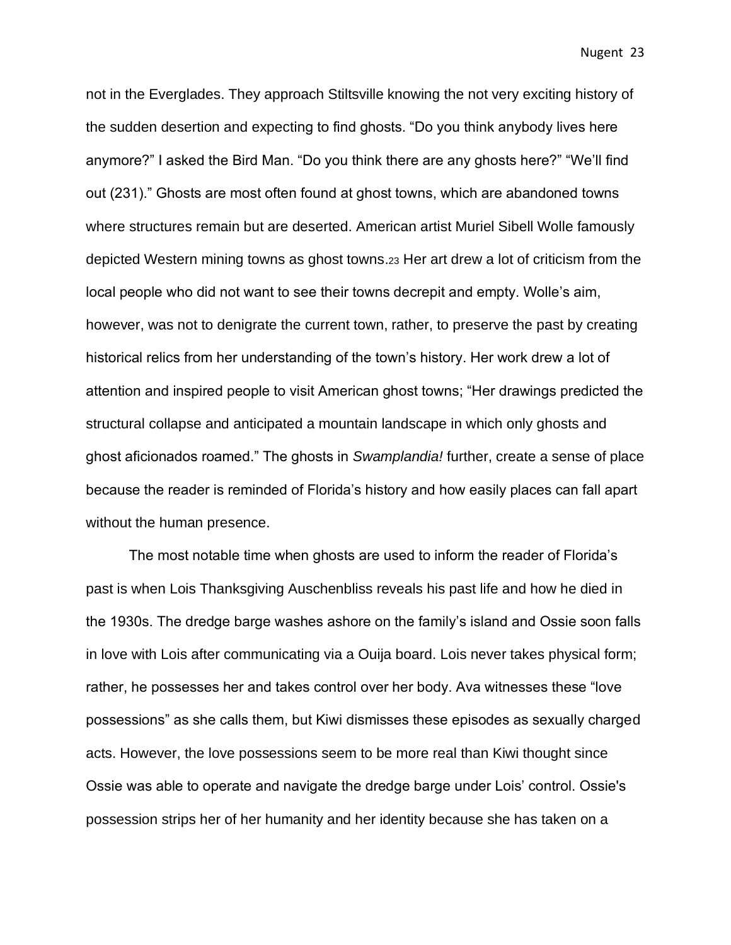not in the Everglades. They approach Stiltsville knowing the not very exciting history of the sudden desertion and expecting to find ghosts. "Do you think anybody lives here anymore?" I asked the Bird Man. "Do you think there are any ghosts here?" "We'll find out (231)." Ghosts are most often found at ghost towns, which are abandoned towns where structures remain but are deserted. American artist Muriel Sibell Wolle famously depicted Western mining towns as ghost towns.<sup>23</sup> Her art drew a lot of criticism from the local people who did not want to see their towns decrepit and empty. Wolle's aim, however, was not to denigrate the current town, rather, to preserve the past by creating historical relics from her understanding of the town's history. Her work drew a lot of attention and inspired people to visit American ghost towns; "Her drawings predicted the structural collapse and anticipated a mountain landscape in which only ghosts and ghost aficionados roamed." The ghosts in *Swamplandia!* further, create a sense of place because the reader is reminded of Florida's history and how easily places can fall apart without the human presence.

The most notable time when ghosts are used to inform the reader of Florida's past is when Lois Thanksgiving Auschenbliss reveals his past life and how he died in the 1930s. The dredge barge washes ashore on the family's island and Ossie soon falls in love with Lois after communicating via a Ouija board. Lois never takes physical form; rather, he possesses her and takes control over her body. Ava witnesses these "love possessions" as she calls them, but Kiwi dismisses these episodes as sexually charged acts. However, the love possessions seem to be more real than Kiwi thought since Ossie was able to operate and navigate the dredge barge under Lois' control. Ossie's possession strips her of her humanity and her identity because she has taken on a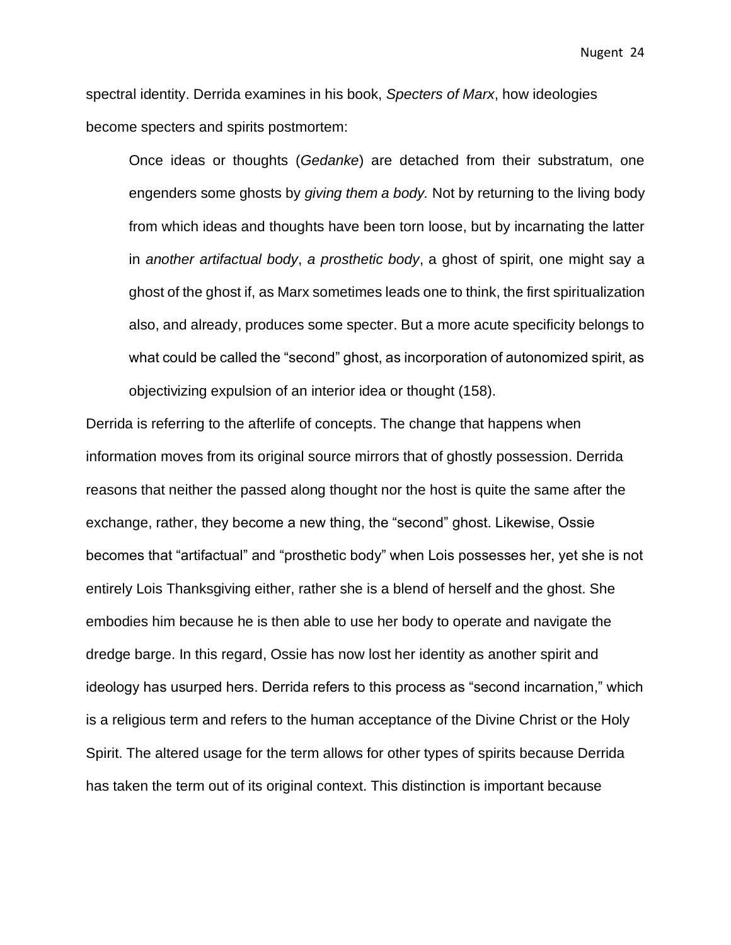spectral identity. Derrida examines in his book, *Specters of Marx*, how ideologies become specters and spirits postmortem:

Once ideas or thoughts (*Gedanke*) are detached from their substratum, one engenders some ghosts by *giving them a body.* Not by returning to the living body from which ideas and thoughts have been torn loose, but by incarnating the latter in *another artifactual body*, *a prosthetic body*, a ghost of spirit, one might say a ghost of the ghost if, as Marx sometimes leads one to think, the first spiritualization also, and already, produces some specter. But a more acute specificity belongs to what could be called the "second" ghost, as incorporation of autonomized spirit, as objectivizing expulsion of an interior idea or thought (158).

Derrida is referring to the afterlife of concepts. The change that happens when information moves from its original source mirrors that of ghostly possession. Derrida reasons that neither the passed along thought nor the host is quite the same after the exchange, rather, they become a new thing, the "second" ghost. Likewise, Ossie becomes that "artifactual" and "prosthetic body" when Lois possesses her, yet she is not entirely Lois Thanksgiving either, rather she is a blend of herself and the ghost. She embodies him because he is then able to use her body to operate and navigate the dredge barge. In this regard, Ossie has now lost her identity as another spirit and ideology has usurped hers. Derrida refers to this process as "second incarnation," which is a religious term and refers to the human acceptance of the Divine Christ or the Holy Spirit. The altered usage for the term allows for other types of spirits because Derrida has taken the term out of its original context. This distinction is important because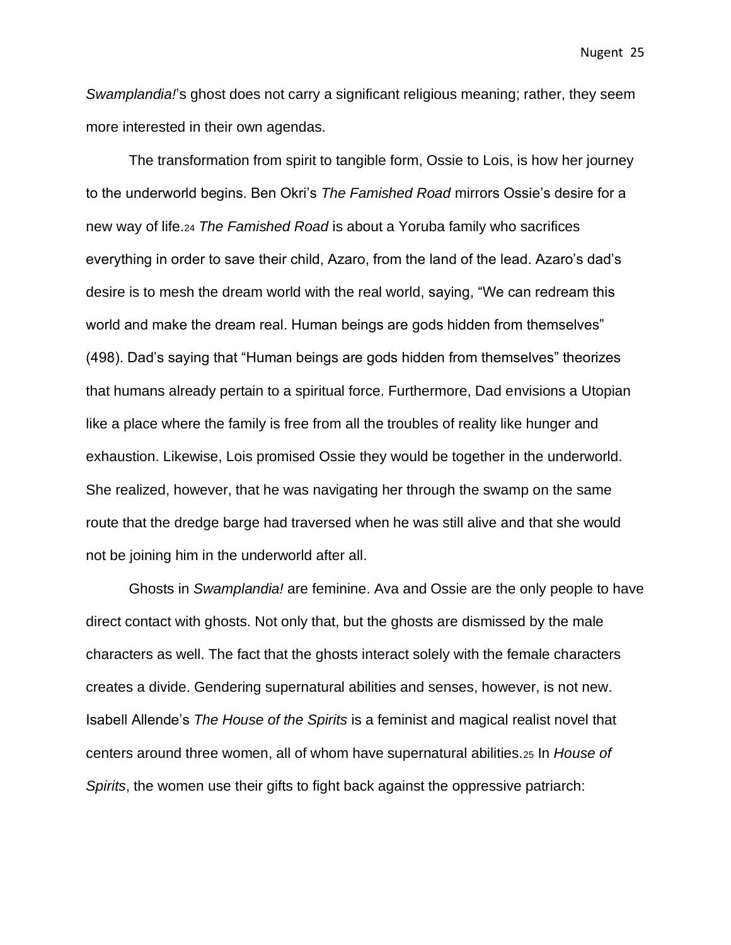*Swamplandia!*'s ghost does not carry a significant religious meaning; rather, they seem more interested in their own agendas.

The transformation from spirit to tangible form, Ossie to Lois, is how her journey to the underworld begins. Ben Okri's *The Famished Road* mirrors Ossie's desire for a new way of life.<sup>24</sup> *The Famished Road* is about a Yoruba family who sacrifices everything in order to save their child, Azaro, from the land of the lead. Azaro's dad's desire is to mesh the dream world with the real world, saying, "We can redream this world and make the dream real. Human beings are gods hidden from themselves" (498). Dad's saying that "Human beings are gods hidden from themselves" theorizes that humans already pertain to a spiritual force. Furthermore, Dad envisions a Utopian like a place where the family is free from all the troubles of reality like hunger and exhaustion. Likewise, Lois promised Ossie they would be together in the underworld. She realized, however, that he was navigating her through the swamp on the same route that the dredge barge had traversed when he was still alive and that she would not be joining him in the underworld after all.

Ghosts in *Swamplandia!* are feminine. Ava and Ossie are the only people to have direct contact with ghosts. Not only that, but the ghosts are dismissed by the male characters as well. The fact that the ghosts interact solely with the female characters creates a divide. Gendering supernatural abilities and senses, however, is not new. Isabell Allende's *The House of the Spirits* is a feminist and magical realist novel that centers around three women, all of whom have supernatural abilities.<sup>25</sup> In *House of Spirits*, the women use their gifts to fight back against the oppressive patriarch: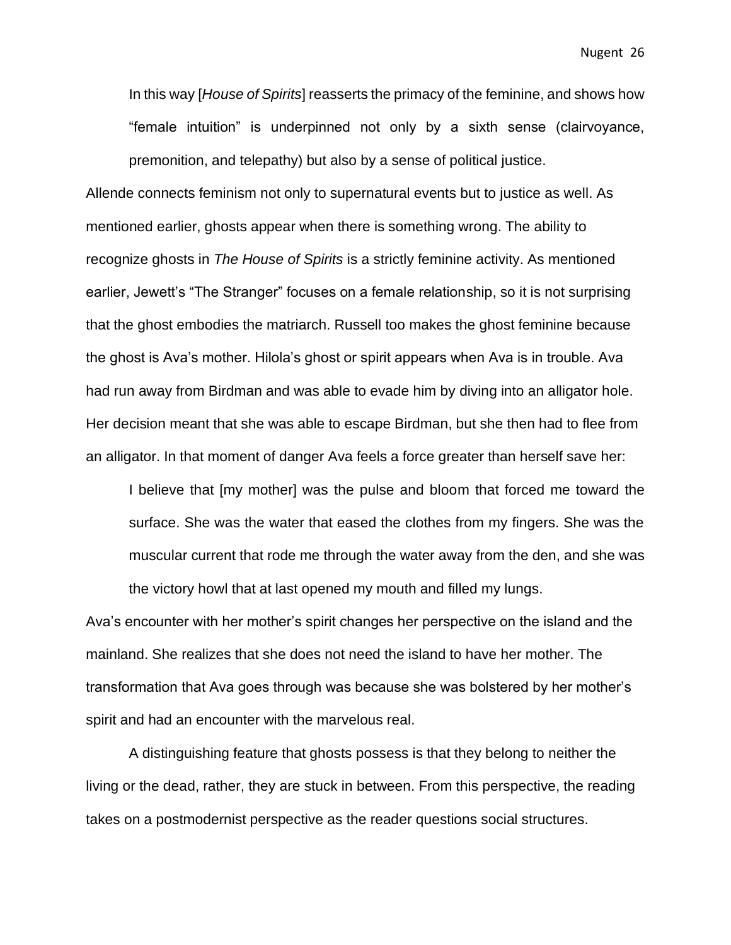In this way [*House of Spirits*] reasserts the primacy of the feminine, and shows how "female intuition" is underpinned not only by a sixth sense (clairvoyance, premonition, and telepathy) but also by a sense of political justice.

Allende connects feminism not only to supernatural events but to justice as well. As mentioned earlier, ghosts appear when there is something wrong. The ability to recognize ghosts in *The House of Spirits* is a strictly feminine activity. As mentioned earlier, Jewett's "The Stranger" focuses on a female relationship, so it is not surprising that the ghost embodies the matriarch. Russell too makes the ghost feminine because the ghost is Ava's mother. Hilola's ghost or spirit appears when Ava is in trouble. Ava had run away from Birdman and was able to evade him by diving into an alligator hole. Her decision meant that she was able to escape Birdman, but she then had to flee from an alligator. In that moment of danger Ava feels a force greater than herself save her:

I believe that [my mother] was the pulse and bloom that forced me toward the surface. She was the water that eased the clothes from my fingers. She was the muscular current that rode me through the water away from the den, and she was the victory howl that at last opened my mouth and filled my lungs.

Ava's encounter with her mother's spirit changes her perspective on the island and the mainland. She realizes that she does not need the island to have her mother. The transformation that Ava goes through was because she was bolstered by her mother's spirit and had an encounter with the marvelous real.

A distinguishing feature that ghosts possess is that they belong to neither the living or the dead, rather, they are stuck in between. From this perspective, the reading takes on a postmodernist perspective as the reader questions social structures.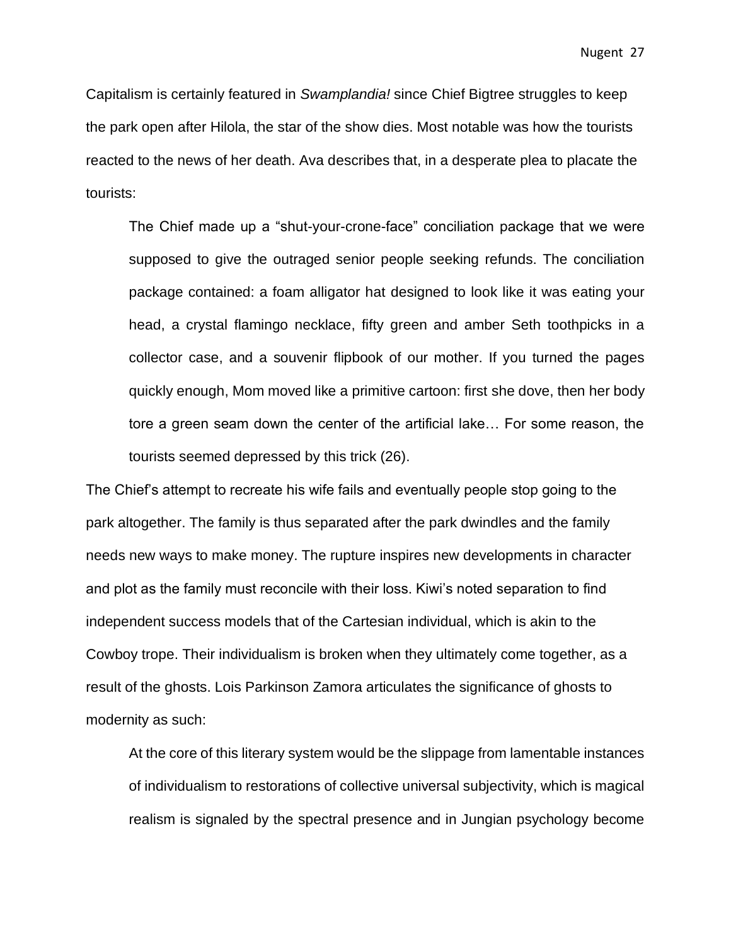Capitalism is certainly featured in *Swamplandia!* since Chief Bigtree struggles to keep the park open after Hilola, the star of the show dies. Most notable was how the tourists reacted to the news of her death. Ava describes that, in a desperate plea to placate the tourists:

The Chief made up a "shut-your-crone-face" conciliation package that we were supposed to give the outraged senior people seeking refunds. The conciliation package contained: a foam alligator hat designed to look like it was eating your head, a crystal flamingo necklace, fifty green and amber Seth toothpicks in a collector case, and a souvenir flipbook of our mother. If you turned the pages quickly enough, Mom moved like a primitive cartoon: first she dove, then her body tore a green seam down the center of the artificial lake… For some reason, the tourists seemed depressed by this trick (26).

The Chief's attempt to recreate his wife fails and eventually people stop going to the park altogether. The family is thus separated after the park dwindles and the family needs new ways to make money. The rupture inspires new developments in character and plot as the family must reconcile with their loss. Kiwi's noted separation to find independent success models that of the Cartesian individual, which is akin to the Cowboy trope. Their individualism is broken when they ultimately come together, as a result of the ghosts. Lois Parkinson Zamora articulates the significance of ghosts to modernity as such:

At the core of this literary system would be the slippage from lamentable instances of individualism to restorations of collective universal subjectivity, which is magical realism is signaled by the spectral presence and in Jungian psychology become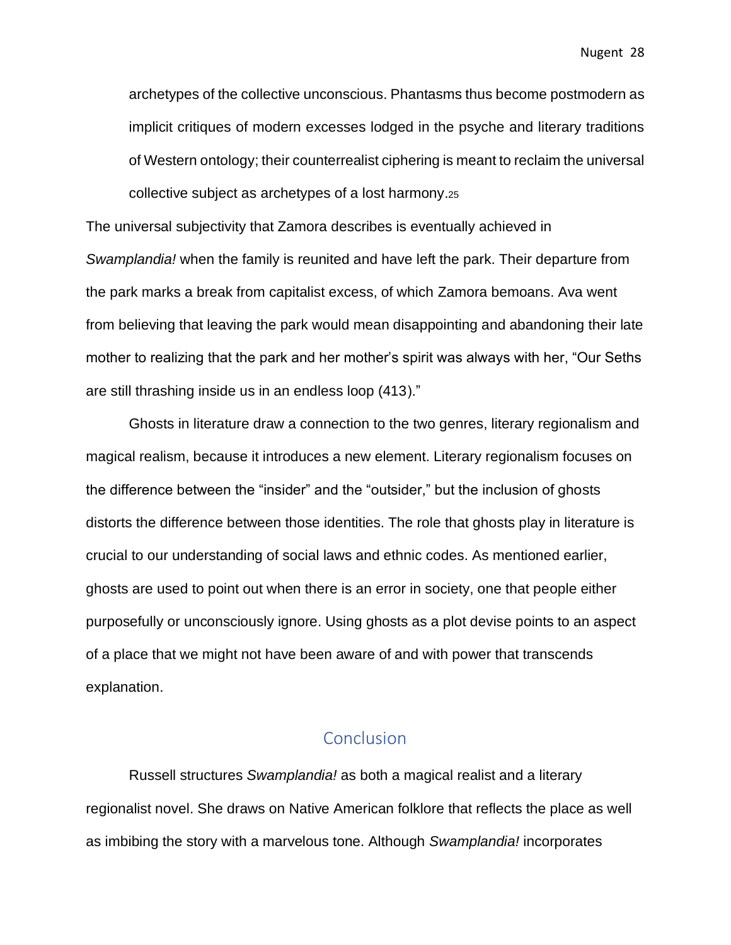archetypes of the collective unconscious. Phantasms thus become postmodern as implicit critiques of modern excesses lodged in the psyche and literary traditions of Western ontology; their counterrealist ciphering is meant to reclaim the universal collective subject as archetypes of a lost harmony.<sup>25</sup>

The universal subjectivity that Zamora describes is eventually achieved in *Swamplandia!* when the family is reunited and have left the park. Their departure from the park marks a break from capitalist excess, of which Zamora bemoans. Ava went from believing that leaving the park would mean disappointing and abandoning their late mother to realizing that the park and her mother's spirit was always with her, "Our Seths are still thrashing inside us in an endless loop (413)."

Ghosts in literature draw a connection to the two genres, literary regionalism and magical realism, because it introduces a new element. Literary regionalism focuses on the difference between the "insider" and the "outsider," but the inclusion of ghosts distorts the difference between those identities. The role that ghosts play in literature is crucial to our understanding of social laws and ethnic codes. As mentioned earlier, ghosts are used to point out when there is an error in society, one that people either purposefully or unconsciously ignore. Using ghosts as a plot devise points to an aspect of a place that we might not have been aware of and with power that transcends explanation.

### **Conclusion**

<span id="page-28-0"></span>Russell structures *Swamplandia!* as both a magical realist and a literary regionalist novel. She draws on Native American folklore that reflects the place as well as imbibing the story with a marvelous tone. Although *Swamplandia!* incorporates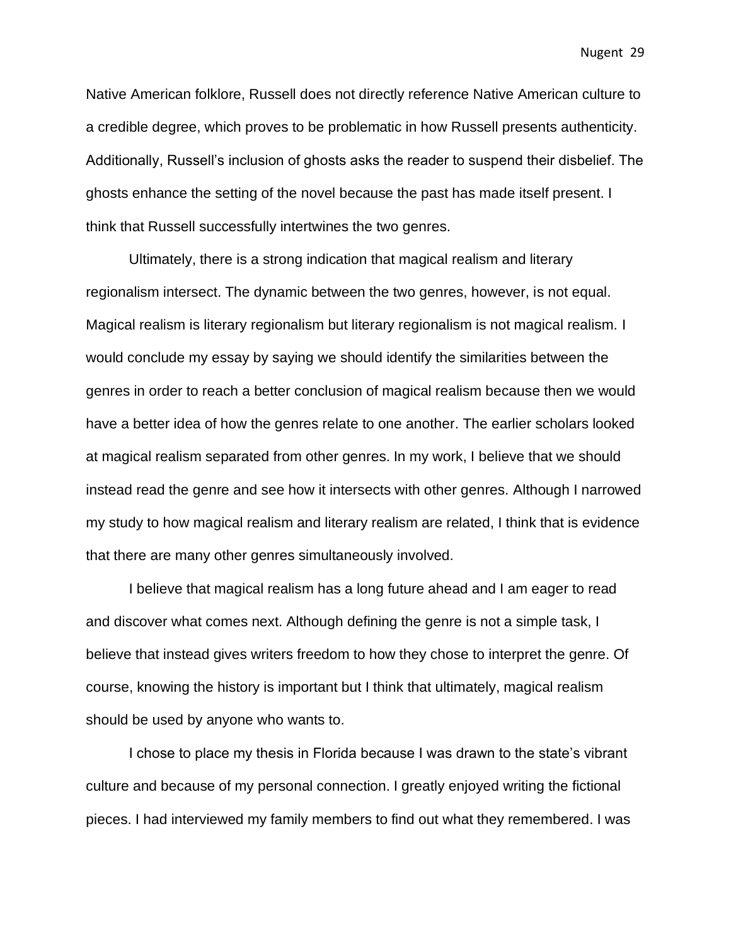Native American folklore, Russell does not directly reference Native American culture to a credible degree, which proves to be problematic in how Russell presents authenticity. Additionally, Russell's inclusion of ghosts asks the reader to suspend their disbelief. The ghosts enhance the setting of the novel because the past has made itself present. I think that Russell successfully intertwines the two genres.

Ultimately, there is a strong indication that magical realism and literary regionalism intersect. The dynamic between the two genres, however, is not equal. Magical realism is literary regionalism but literary regionalism is not magical realism. I would conclude my essay by saying we should identify the similarities between the genres in order to reach a better conclusion of magical realism because then we would have a better idea of how the genres relate to one another. The earlier scholars looked at magical realism separated from other genres. In my work, I believe that we should instead read the genre and see how it intersects with other genres. Although I narrowed my study to how magical realism and literary realism are related, I think that is evidence that there are many other genres simultaneously involved.

I believe that magical realism has a long future ahead and I am eager to read and discover what comes next. Although defining the genre is not a simple task, I believe that instead gives writers freedom to how they chose to interpret the genre. Of course, knowing the history is important but I think that ultimately, magical realism should be used by anyone who wants to.

I chose to place my thesis in Florida because I was drawn to the state's vibrant culture and because of my personal connection. I greatly enjoyed writing the fictional pieces. I had interviewed my family members to find out what they remembered. I was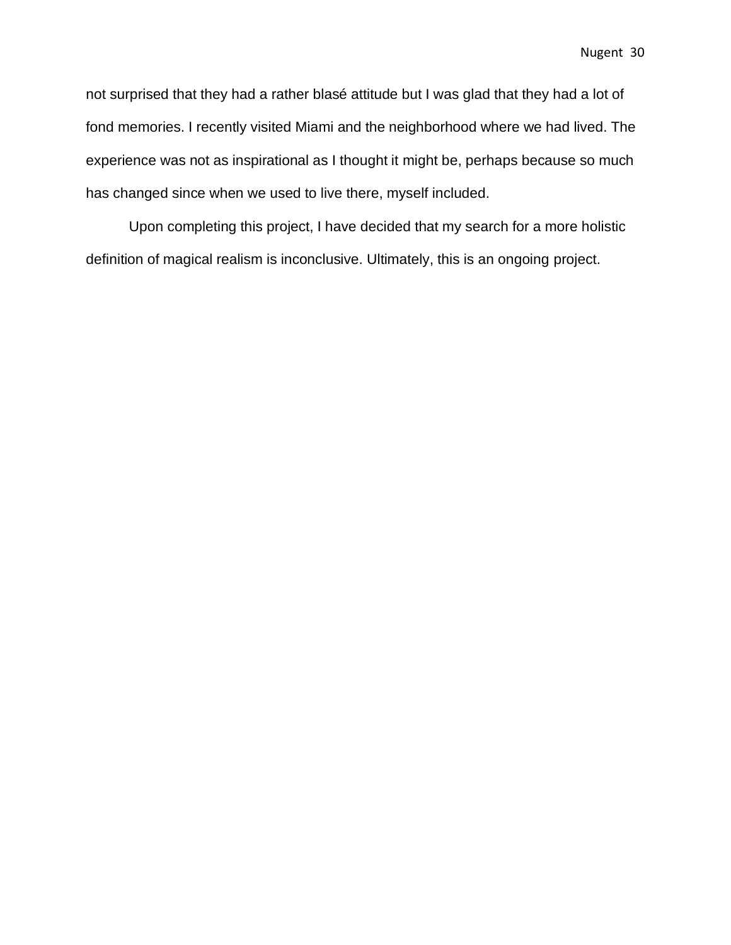not surprised that they had a rather blasé attitude but I was glad that they had a lot of fond memories. I recently visited Miami and the neighborhood where we had lived. The experience was not as inspirational as I thought it might be, perhaps because so much has changed since when we used to live there, myself included.

Upon completing this project, I have decided that my search for a more holistic definition of magical realism is inconclusive. Ultimately, this is an ongoing project.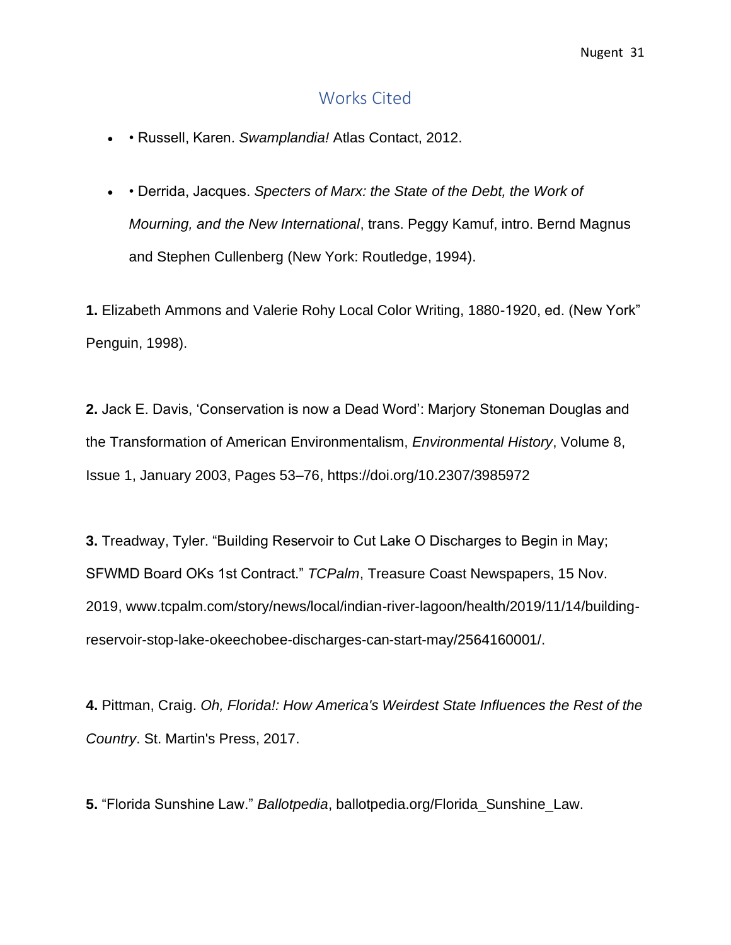### Works Cited

- <span id="page-31-0"></span>• • Russell, Karen. *Swamplandia!* Atlas Contact, 2012.
- • Derrida, Jacques. *Specters of Marx: the State of the Debt, the Work of Mourning, and the New International*, trans. Peggy Kamuf, intro. Bernd Magnus and Stephen Cullenberg (New York: Routledge, 1994).

**1.** Elizabeth Ammons and Valerie Rohy Local Color Writing, 1880-1920, ed. (New York" Penguin, 1998).

**2.** Jack E. Davis, 'Conservation is now a Dead Word': Marjory Stoneman Douglas and the Transformation of American Environmentalism, *Environmental History*, Volume 8, Issue 1, January 2003, Pages 53–76, https://doi.org/10.2307/3985972

**3.** Treadway, Tyler. "Building Reservoir to Cut Lake O Discharges to Begin in May; SFWMD Board OKs 1st Contract." *TCPalm*, Treasure Coast Newspapers, 15 Nov. 2019, www.tcpalm.com/story/news/local/indian-river-lagoon/health/2019/11/14/buildingreservoir-stop-lake-okeechobee-discharges-can-start-may/2564160001/.

**4.** Pittman, Craig. *Oh, Florida!: How America's Weirdest State Influences the Rest of the Country*. St. Martin's Press, 2017.

**5.** "Florida Sunshine Law." *Ballotpedia*, ballotpedia.org/Florida\_Sunshine\_Law.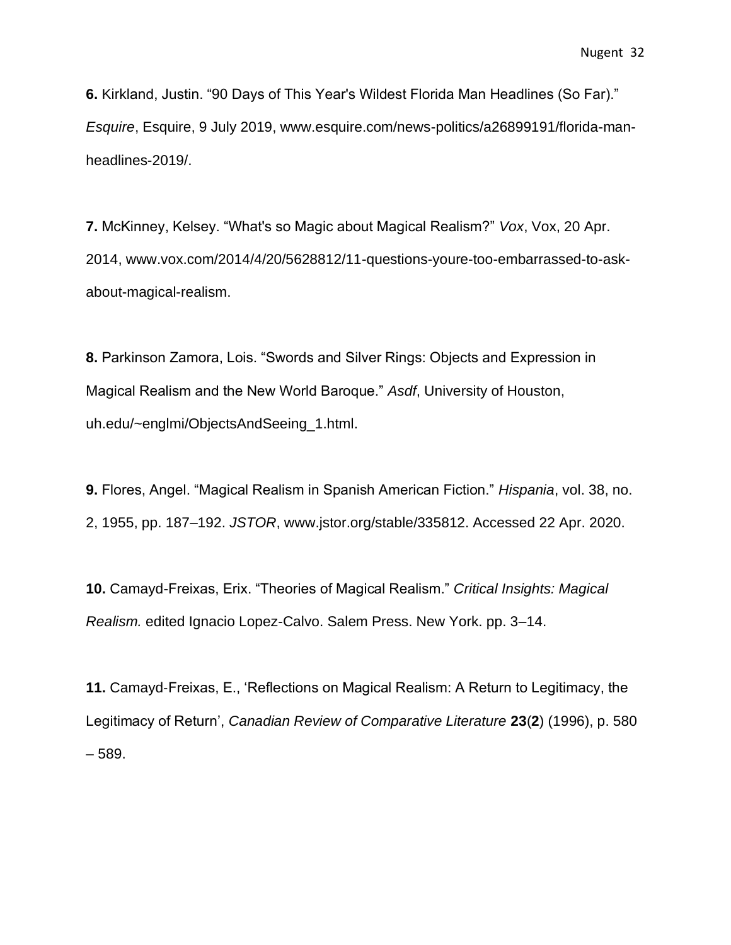**6.** Kirkland, Justin. "90 Days of This Year's Wildest Florida Man Headlines (So Far)." *Esquire*, Esquire, 9 July 2019, www.esquire.com/news-politics/a26899191/florida-manheadlines-2019/.

**7.** McKinney, Kelsey. "What's so Magic about Magical Realism?" *Vox*, Vox, 20 Apr. 2014, www.vox.com/2014/4/20/5628812/11-questions-youre-too-embarrassed-to-askabout-magical-realism.

**8.** Parkinson Zamora, Lois. "Swords and Silver Rings: Objects and Expression in Magical Realism and the New World Baroque." *Asdf*, University of Houston, uh.edu/~englmi/ObjectsAndSeeing\_1.html.

**9.** Flores, Angel. "Magical Realism in Spanish American Fiction." *Hispania*, vol. 38, no. 2, 1955, pp. 187–192. *JSTOR*, www.jstor.org/stable/335812. Accessed 22 Apr. 2020.

**10.** Camayd-Freixas, Erix. "Theories of Magical Realism." *Critical Insights: Magical Realism.* edited Ignacio Lopez-Calvo. Salem Press. New York. pp. 3–14.

**11.** Camayd‐Freixas, E., 'Reflections on Magical Realism: A Return to Legitimacy, the Legitimacy of Return', *Canadian Review of Comparative Literature* **23**(**2**) (1996), p. 580 – 589.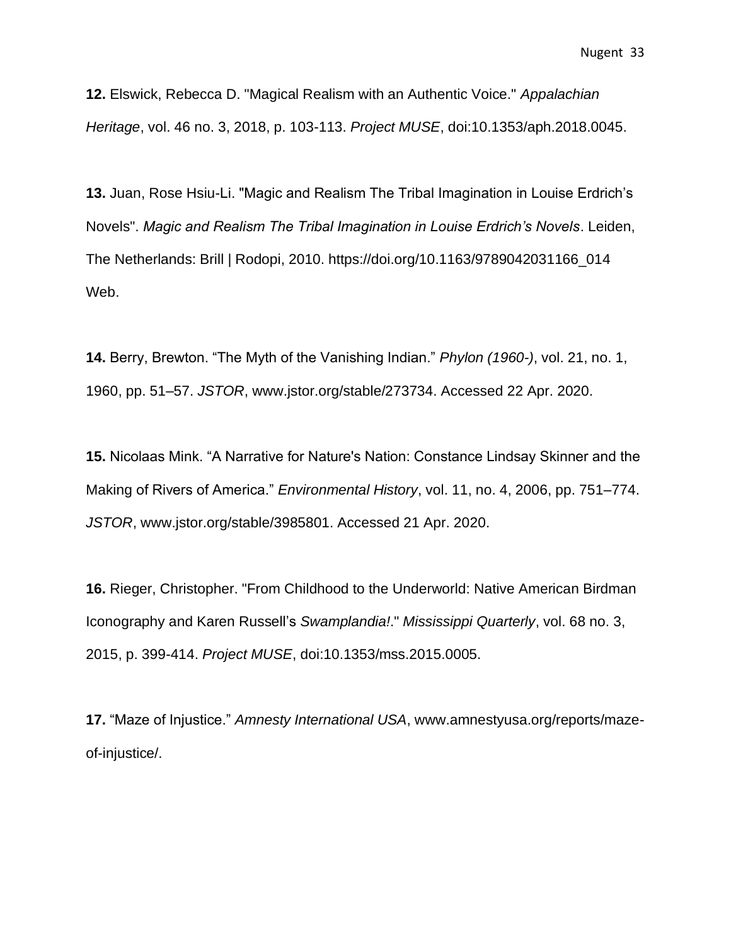**12.** Elswick, Rebecca D. "Magical Realism with an Authentic Voice." *Appalachian Heritage*, vol. 46 no. 3, 2018, p. 103-113. *Project MUSE*, doi:10.1353/aph.2018.0045.

**13.** Juan, Rose Hsiu-Li. "Magic and Realism The Tribal Imagination in Louise Erdrich's Novels". *Magic and Realism The Tribal Imagination in Louise Erdrich's Novels*. Leiden, The Netherlands: Brill | Rodopi, 2010. https://doi.org/10.1163/9789042031166\_014 Web.

**14.** Berry, Brewton. "The Myth of the Vanishing Indian." *Phylon (1960-)*, vol. 21, no. 1, 1960, pp. 51–57. *JSTOR*, www.jstor.org/stable/273734. Accessed 22 Apr. 2020.

**15.** Nicolaas Mink. "A Narrative for Nature's Nation: Constance Lindsay Skinner and the Making of Rivers of America." *Environmental History*, vol. 11, no. 4, 2006, pp. 751–774. *JSTOR*, www.jstor.org/stable/3985801. Accessed 21 Apr. 2020.

**16.** Rieger, Christopher. "From Childhood to the Underworld: Native American Birdman Iconography and Karen Russell's *Swamplandia!*." *Mississippi Quarterly*, vol. 68 no. 3, 2015, p. 399-414. *Project MUSE*, doi:10.1353/mss.2015.0005.

**17.** "Maze of Injustice." *Amnesty International USA*, www.amnestyusa.org/reports/mazeof-injustice/.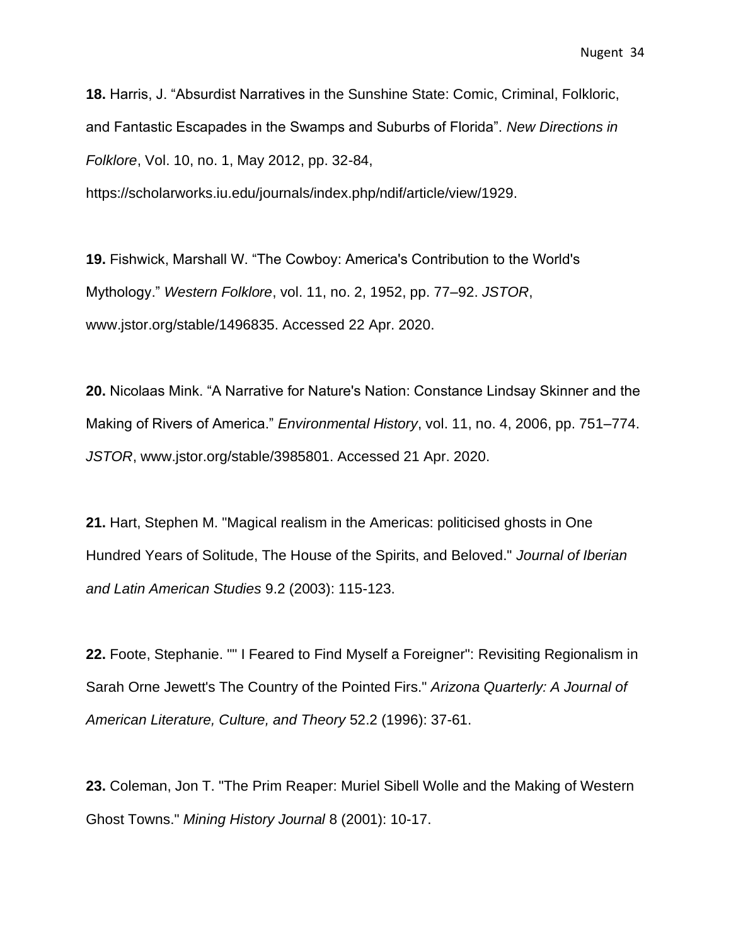**18.** Harris, J. "Absurdist Narratives in the Sunshine State: Comic, Criminal, Folkloric, and Fantastic Escapades in the Swamps and Suburbs of Florida". *New Directions in Folklore*, Vol. 10, no. 1, May 2012, pp. 32-84,

https://scholarworks.iu.edu/journals/index.php/ndif/article/view/1929.

**19.** Fishwick, Marshall W. "The Cowboy: America's Contribution to the World's Mythology." *Western Folklore*, vol. 11, no. 2, 1952, pp. 77–92. *JSTOR*, www.jstor.org/stable/1496835. Accessed 22 Apr. 2020.

**20.** Nicolaas Mink. "A Narrative for Nature's Nation: Constance Lindsay Skinner and the Making of Rivers of America." *Environmental History*, vol. 11, no. 4, 2006, pp. 751–774. *JSTOR*, www.jstor.org/stable/3985801. Accessed 21 Apr. 2020.

**21.** Hart, Stephen M. "Magical realism in the Americas: politicised ghosts in One Hundred Years of Solitude, The House of the Spirits, and Beloved." *Journal of Iberian and Latin American Studies* 9.2 (2003): 115-123.

**22.** Foote, Stephanie. "" I Feared to Find Myself a Foreigner": Revisiting Regionalism in Sarah Orne Jewett's The Country of the Pointed Firs." *Arizona Quarterly: A Journal of American Literature, Culture, and Theory* 52.2 (1996): 37-61.

**23.** Coleman, Jon T. "The Prim Reaper: Muriel Sibell Wolle and the Making of Western Ghost Towns." *Mining History Journal* 8 (2001): 10-17.